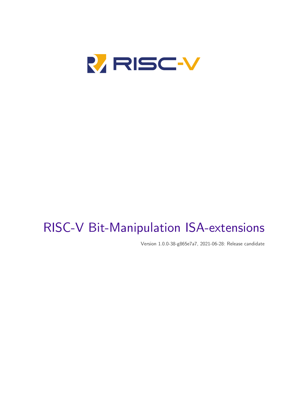

# RISC-V Bit-Manipulation ISA-extensions

Version 1.0.0-38-g865e7a7, 2021-06-28: Release candidate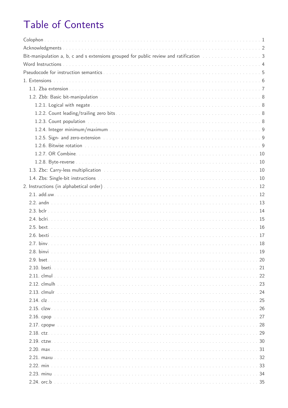# Table of Contents

| Bit-manipulation a, b, c and s extensions grouped for public review and ratification manuscription and set of 3 |
|-----------------------------------------------------------------------------------------------------------------|
|                                                                                                                 |
|                                                                                                                 |
|                                                                                                                 |
|                                                                                                                 |
|                                                                                                                 |
|                                                                                                                 |
|                                                                                                                 |
|                                                                                                                 |
|                                                                                                                 |
|                                                                                                                 |
|                                                                                                                 |
|                                                                                                                 |
|                                                                                                                 |
|                                                                                                                 |
|                                                                                                                 |
|                                                                                                                 |
|                                                                                                                 |
|                                                                                                                 |
|                                                                                                                 |
|                                                                                                                 |
|                                                                                                                 |
|                                                                                                                 |
|                                                                                                                 |
|                                                                                                                 |
|                                                                                                                 |
|                                                                                                                 |
|                                                                                                                 |
|                                                                                                                 |
|                                                                                                                 |
|                                                                                                                 |
|                                                                                                                 |
|                                                                                                                 |
|                                                                                                                 |
|                                                                                                                 |
|                                                                                                                 |
|                                                                                                                 |
|                                                                                                                 |
|                                                                                                                 |
|                                                                                                                 |
|                                                                                                                 |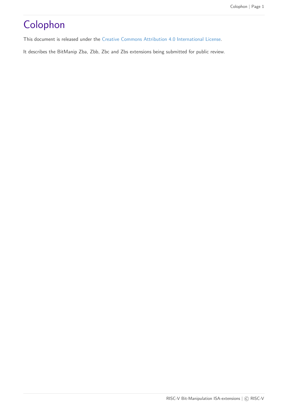# <span id="page-3-0"></span>Colophon

This document is released under the [Creative Commons Attribution 4.0 International License](https://creativecommons.org/licenses/by/4.0/).

It describes the BitManip Zba, Zbb, Zbc and Zbs extensions being submitted for public review.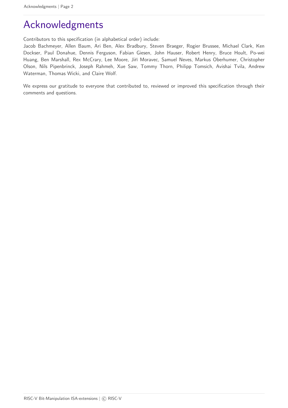# <span id="page-4-0"></span>Acknowledgments

Contributors to this specification (in alphabetical order) include:

Jacob Bachmeyer, Allen Baum, Ari Ben, Alex Bradbury, Steven Braeger, Rogier Brussee, Michael Clark, Ken Dockser, Paul Donahue, Dennis Ferguson, Fabian Giesen, John Hauser, Robert Henry, Bruce Hoult, Po-wei Huang, Ben Marshall, Rex McCrary, Lee Moore, Jiří Moravec, Samuel Neves, Markus Oberhumer, Christopher Olson, Nils Pipenbrinck, Joseph Rahmeh, Xue Saw, Tommy Thorn, Philipp Tomsich, Avishai Tvila, Andrew Waterman, Thomas Wicki, and Claire Wolf.

We express our gratitude to everyone that contributed to, reviewed or improved this specification through their comments and questions.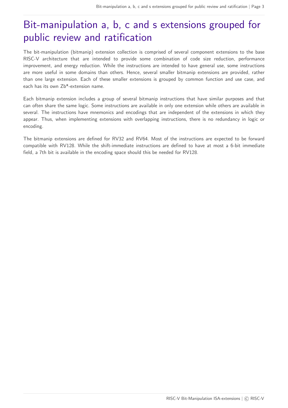# <span id="page-5-0"></span>Bit-manipulation a, b, c and s extensions grouped for public review and ratification

The bit-manipulation (bitmanip) extension collection is comprised of several component extensions to the base RISC-V architecture that are intended to provide some combination of code size reduction, performance improvement, and energy reduction. While the instructions are intended to have general use, some instructions are more useful in some domains than others. Hence, several smaller bitmanip extensions are provided, rather than one large extension. Each of these smaller extensions is grouped by common function and use case, and each has its own Zb\*-extension name.

Each bitmanip extension includes a group of several bitmanip instructions that have similar purposes and that can often share the same logic. Some instructions are available in only one extension while others are available in several. The instructions have mnemonics and encodings that are independent of the extensions in which they appear. Thus, when implementing extensions with overlapping instructions, there is no redundancy in logic or encoding.

The bitmanip extensions are defined for RV32 and RV64. Most of the instructions are expected to be forward compatible with RV128. While the shift-immediate instructions are defined to have at most a 6-bit immediate field, a 7th bit is available in the encoding space should this be needed for RV128.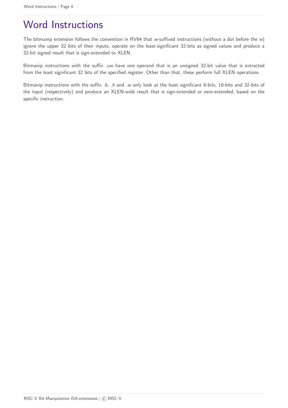# <span id="page-6-0"></span>Word Instructions

The bitmanip extension follows the convention in RV64 that w-suffixed instructions (without a dot before the w) ignore the upper 32 bits of their inputs, operate on the least-significant 32-bits as signed values and produce a 32-bit signed result that is sign-extended to XLEN.

Bitmanip instructions with the suffix .uw have one operand that is an unsigned 32-bit value that is extracted from the least significant 32 bits of the specified register. Other than that, these perform full XLEN operations.

Bitmanip instructions with the suffix .b, .h and .w only look at the least significant 8-bits, 16-bits and 32-bits of the input (respectively) and produce an XLEN-wide result that is sign-extended or zero-extended, based on the specific instruction.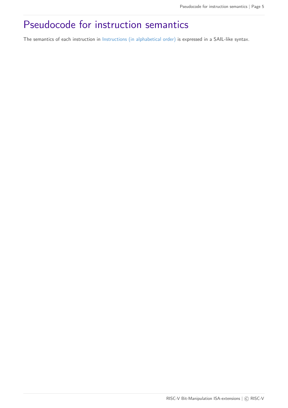# <span id="page-7-0"></span>Pseudocode for instruction semantics

The semantics of each instruction in [Instructions \(in alphabetical order\)](#page-14-0) is expressed in a SAIL-like syntax.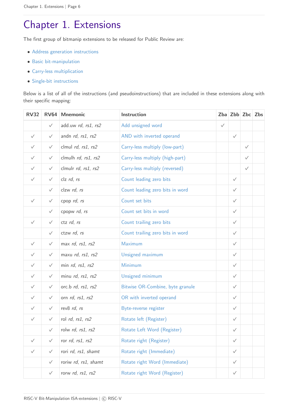# <span id="page-8-0"></span>Chapter 1. Extensions

The first group of bitmanip extensions to be released for Public Review are:

- [Address generation instructions](#page-9-0)
- [Basic bit-manipulation](#page-10-0)
- [Carry-less multiplication](#page-12-2)
- [Single-bit instructions](#page-12-3)

Below is a list of all of the instructions (and pseudoinstructions) that are included in these extensions along with their specific mapping:

| <b>RV32</b>  |              | RV64 Mnemonic        | Instruction                      |              | $Zba$ Zbb $Zbc$ Zbs |              |  |
|--------------|--------------|----------------------|----------------------------------|--------------|---------------------|--------------|--|
|              | $\checkmark$ | add.uw rd, rs1, rs2  | Add unsigned word                | $\checkmark$ |                     |              |  |
| $\checkmark$ | $\checkmark$ | andn rd, rs1, rs2    | AND with inverted operand        |              | $\checkmark$        |              |  |
| $\checkmark$ | $\checkmark$ | clmul rd, rs1, rs2   | Carry-less multiply (low-part)   |              |                     | $\checkmark$ |  |
| $\checkmark$ | $\checkmark$ | clmulh rd, rs1, rs2  | Carry-less multiply (high-part)  |              |                     | $\checkmark$ |  |
| $\checkmark$ | $\checkmark$ | clmulr rd, rs1, rs2  | Carry-less multiply (reversed)   |              |                     | $\checkmark$ |  |
| $\checkmark$ | $\checkmark$ | clz rd, rs           | Count leading zero bits          |              | $\checkmark$        |              |  |
|              | $\checkmark$ | clzw rd, rs          | Count leading zero bits in word  |              | $\checkmark$        |              |  |
| $\checkmark$ | $\checkmark$ | cpop rd, rs          | Count set bits                   |              | $\checkmark$        |              |  |
|              | $\checkmark$ | cpopw rd, rs         | Count set bits in word           |              | $\checkmark$        |              |  |
| $\checkmark$ | $\checkmark$ | ctz rd, rs           | Count trailing zero bits         |              | $\checkmark$        |              |  |
|              | $\checkmark$ | ctzw rd, rs          | Count trailing zero bits in word |              | $\checkmark$        |              |  |
| $\checkmark$ | $\checkmark$ | max rd, rs1, rs2     | Maximum                          |              | $\checkmark$        |              |  |
| $\checkmark$ | $\checkmark$ | maxu rd, rs1, rs2    | Unsigned maximum                 |              | $\checkmark$        |              |  |
| $\checkmark$ | $\checkmark$ | min rd, rs1, rs2     | Minimum                          |              | $\checkmark$        |              |  |
| $\checkmark$ | $\checkmark$ | minu rd, rs1, rs2    | Unsigned minimum                 |              | $\checkmark$        |              |  |
| $\checkmark$ | $\checkmark$ | orc.b rd, rs1, rs2   | Bitwise OR-Combine, byte granule |              | $\checkmark$        |              |  |
| $\checkmark$ | $\checkmark$ | orn rd, rs1, rs2     | OR with inverted operand         |              | $\checkmark$        |              |  |
| $\checkmark$ | $\checkmark$ | rev8 rd, rs          | Byte-reverse register            |              | $\checkmark$        |              |  |
| $\checkmark$ | $\checkmark$ | rol rd, rs1, rs2     | Rotate left (Register)           |              | $\checkmark$        |              |  |
|              | $\checkmark$ | rolw rd, rs1, rs2    | Rotate Left Word (Register)      |              | ✓                   |              |  |
| $\checkmark$ | $\checkmark$ | ror rd, rs1, rs2     | Rotate right (Register)          |              | $\checkmark$        |              |  |
| $\checkmark$ | $\checkmark$ | rori rd, rs1, shamt  | Rotate right (Immediate)         |              | $\checkmark$        |              |  |
|              | $\checkmark$ | roriw rd, rs1, shamt | Rotate right Word (Immediate)    |              | $\checkmark$        |              |  |
|              | $\checkmark$ | rorw rd, rs1, rs2    | Rotate right Word (Register)     |              | $\checkmark$        |              |  |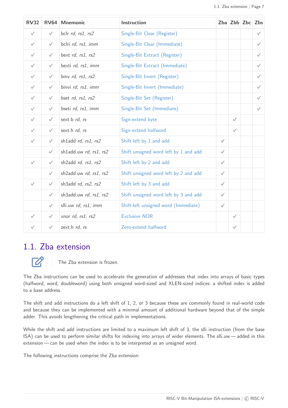| <b>RV32</b>  | <b>RV64</b>  | <b>Mnemonic</b>        | Instruction                           |              |              | Zba Zbb Zbc | Zbs          |
|--------------|--------------|------------------------|---------------------------------------|--------------|--------------|-------------|--------------|
| $\checkmark$ | $\checkmark$ | bclr rd, rs1, rs2      | Single-Bit Clear (Register)           |              |              |             | $\checkmark$ |
| $\checkmark$ | $\checkmark$ | bclri rd, rs1, imm     | Single-Bit Clear (Immediate)          |              |              |             | $\checkmark$ |
| $\checkmark$ | $\checkmark$ | bext rd, rs1, rs2      | Single-Bit Extract (Register)         |              |              |             | $\checkmark$ |
| $\checkmark$ | $\checkmark$ | bexti rd, rs1, imm     | Single-Bit Extract (Immediate)        |              |              |             | $\checkmark$ |
| $\checkmark$ | $\checkmark$ | binv rd, rs1, rs2      | Single-Bit Invert (Register)          |              |              |             | $\checkmark$ |
| $\checkmark$ | $\checkmark$ | binvi rd, rs1, imm     | Single-Bit Invert (Immediate)         |              |              |             | $\checkmark$ |
| $\checkmark$ | $\checkmark$ | bset rd, rs1, rs2      | Single-Bit Set (Register)             |              |              |             | $\checkmark$ |
| $\checkmark$ | $\checkmark$ | bseti rd, rs1, imm     | Single-Bit Set (Immediate)            |              |              |             | $\checkmark$ |
| $\checkmark$ | $\checkmark$ | sext.b rd, rs          | Sign-extend byte                      |              | $\checkmark$ |             |              |
| $\checkmark$ | $\checkmark$ | sext.h rd, rs          | Sign-extend halfword                  |              | $\checkmark$ |             |              |
| $\checkmark$ | $\checkmark$ | shladd rd, rs1, rs2    | Shift left by 1 and add               | $\checkmark$ |              |             |              |
|              | $\checkmark$ | shladd.uw rd, rs1, rs2 | Shift unsigned word left by 1 and add | $\checkmark$ |              |             |              |
| $\checkmark$ | $\checkmark$ | sh2add rd, rs1, rs2    | Shift left by 2 and add               | $\checkmark$ |              |             |              |
|              | $\checkmark$ | sh2add.uw rd, rs1, rs2 | Shift unsigned word left by 2 and add | $\checkmark$ |              |             |              |
| $\checkmark$ | $\checkmark$ | sh3add rd, rs2, rs2    | Shift left by 3 and add               | $\checkmark$ |              |             |              |
|              | $\checkmark$ | sh3add.uw rd, rs1, rs2 | Shift unsigned word left by 3 and add | $\checkmark$ |              |             |              |
|              | $\checkmark$ | slli.uw rd, rs1, imm   | Shift-left unsigned word (Immediate)  | $\checkmark$ |              |             |              |
| $\checkmark$ | $\checkmark$ | xnor rd, rs1, rs2      | <b>Exclusive NOR</b>                  |              | $\checkmark$ |             |              |
| $\checkmark$ | $\checkmark$ | zext.h rd, rs          | Zero-extend halfword                  |              | $\checkmark$ |             |              |

### <span id="page-9-0"></span>1.1. Zba extension



The Zba extension is frozen.

The Zba instructions can be used to accelerate the generation of addresses that index into arrays of basic types (halfword, word, doubleword) using both unsigned word-sized and XLEN-sized indices: a shifted index is added to a base address.

The shift and add instructions do a left shift of 1, 2, or 3 because these are commonly found in real-world code and because they can be implemented with a minimal amount of additional hardware beyond that of the simple adder. This avoids lengthening the critical path in implementations.

While the shift and add instructions are limited to a maximum left shift of 3, the slli instruction (from the base ISA) can be used to perform similar shifts for indexing into arrays of wider elements. The slli.uw — added in this extension — can be used when the index is to be interpreted as an unsigned word.

The following instructions comprise the Zba extension: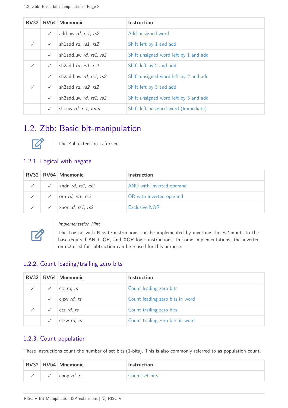|              |              | RV32 RV64 Mnemonic     | Instruction                           |
|--------------|--------------|------------------------|---------------------------------------|
|              | $\checkmark$ | add.uw rd, rs1, rs2    | Add unsigned word                     |
| $\sqrt{}$    | $\checkmark$ | shladd rd, rs1, rs2    | Shift left by 1 and add               |
|              | $\checkmark$ | shladd.uw rd, rs1, rs2 | Shift unsigned word left by 1 and add |
| $\sqrt{}$    | $\checkmark$ | sh2add rd, rs1, rs2    | Shift left by 2 and add               |
|              | $\checkmark$ | sh2add.uw rd, rs1, rs2 | Shift unsigned word left by 2 and add |
| $\checkmark$ | $\checkmark$ | sh3add rd, rs2, rs2    | Shift left by 3 and add               |
|              | $\checkmark$ | sh3add.uw rd, rs1, rs2 | Shift unsigned word left by 3 and add |
|              | $\checkmark$ | slli.uw rd, rs1, imm   | Shift-left unsigned word (Immediate)  |

### <span id="page-10-0"></span>1.2. Zbb: Basic bit-manipulation



The Zbb extension is frozen.

#### <span id="page-10-1"></span>1.2.1. Logical with negate

|  | RV32 RV64 Mnemonic        | <b>Instruction</b>        |
|--|---------------------------|---------------------------|
|  | andn $rd$ , $rs1$ , $rs2$ | AND with inverted operand |
|  | orn $rd$ , $rs1$ , $rs2$  | OR with inverted operand  |
|  | xnor $rd$ , $rs1$ , $rs2$ | <b>Exclusive NOR</b>      |



#### Implementation Hint

The Logical with Negate instructions can be implemented by inverting the rs2 inputs to the base-required AND, OR, and XOR logic instructions. In some implementations, the inverter on rs2 used for subtraction can be reused for this purpose.

#### <span id="page-10-2"></span>1.2.2. Count leading/trailing zero bits

|              | RV32 RV64 Mnemonic  | <b>Instruction</b>               |
|--------------|---------------------|----------------------------------|
| $\checkmark$ | $clz$ <i>rd, rs</i> | Count leading zero bits          |
|              | clzw rd, rs         | Count leading zero bits in word  |
| $\sqrt{}$    | ctz rd, rs          | Count trailing zero bits         |
|              | ctzw rd, rs         | Count trailing zero bits in word |

#### <span id="page-10-3"></span>1.2.3. Count population

These instructions count the number of set bits (1-bits). This is also commonly referred to as population count.

|  | RV32 RV64 Mnemonic         | <b>Instruction</b> |
|--|----------------------------|--------------------|
|  | cpop <i>rd</i> , <i>rs</i> | Count set bits     |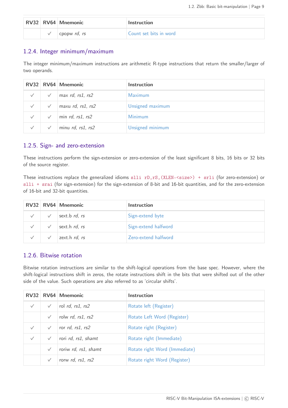|  | RV32 RV64 Mnemonic | <b>Instruction</b>     |
|--|--------------------|------------------------|
|  | cpopw rd, rs       | Count set bits in word |

#### <span id="page-11-0"></span>1.2.4. Integer minimum/maximum

The integer minimum/maximum instructions are arithmetic R-type instructions that return the smaller/larger of two operands.

|              |              | RV32 RV64 Mnemonic        | Instruction      |
|--------------|--------------|---------------------------|------------------|
| $\checkmark$ | $\checkmark$ | max $rd$ , $rs1$ , $rs2$  | <b>Maximum</b>   |
| $\checkmark$ | $\checkmark$ | maxu $rd$ , $rs1$ , $rs2$ | Unsigned maximum |
| $\checkmark$ | $\checkmark$ | min $rd$ , $rs1$ , $rs2$  | Minimum          |
| $\checkmark$ | $\checkmark$ | minu $rd$ , $rs1$ , $rs2$ | Unsigned minimum |

#### <span id="page-11-1"></span>1.2.5. Sign- and zero-extension

These instructions perform the sign-extension or zero-extension of the least significant 8 bits, 16 bits or 32 bits of the source register.

These instructions replace the generalized idioms slli rD,rS,(XLEN-<size>) + srli (for zero-extension) or slli + srai (for sign-extension) for the sign-extension of 8-bit and 16-bit quantities, and for the zero-extension of 16-bit and 32-bit quantities.

|              | RV32 RV64 Mnemonic | <b>Instruction</b>   |
|--------------|--------------------|----------------------|
| $\checkmark$ | sext.b rd, rs      | Sign-extend byte     |
|              | sext.h rd, rs      | Sign-extend halfword |
|              | zext.h rd, rs      | Zero-extend halfword |

#### <span id="page-11-2"></span>1.2.6. Bitwise rotation

Bitwise rotation instructions are similar to the shift-logical operations from the base spec. However, where the shift-logical instructions shift in zeros, the rotate instructions shift in the bits that were shifted out of the other side of the value. Such operations are also referred to as 'circular shifts'.

|           |              | RV32 RV64 Mnemonic   | Instruction                   |
|-----------|--------------|----------------------|-------------------------------|
| $\sqrt{}$ | $\checkmark$ | rol rd, rs1, rs2     | Rotate left (Register)        |
|           | $\sqrt{}$    | rolw rd, rs1, rs2    | Rotate Left Word (Register)   |
| $\sqrt{}$ | $\checkmark$ | ror rd, rs1, rs2     | Rotate right (Register)       |
| $\sqrt{}$ | $\checkmark$ | rori rd, rs1, shamt  | Rotate right (Immediate)      |
|           | $\checkmark$ | roriw rd, rs1, shamt | Rotate right Word (Immediate) |
|           | $\sqrt{}$    | rorw rd, rs1, rs2    | Rotate right Word (Register)  |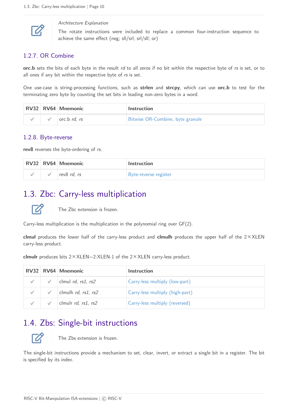

#### Architecture Explanation

The rotate instructions were included to replace a common four-instruction sequence to achieve the same effect (neg; sll/srl; srl/sll; or)

#### <span id="page-12-0"></span>1.2.7. OR Combine

**orc.b** sets the bits of each byte in the result rd to all zeros if no bit within the respective byte of rs is set, or to all ones if any bit within the respective byte of rs is set.

One use-case is string-processing functions, such as **strlen** and **strcpy**, which can use **orc.b** to test for the terminating zero byte by counting the set bits in leading non-zero bytes in a word.

|  | RV32 RV64 Mnemonic                  | <b>Instruction</b>               |  |  |  |  |  |  |
|--|-------------------------------------|----------------------------------|--|--|--|--|--|--|
|  | $\vert$ orc.b <i>rd</i> , <i>rs</i> | Bitwise OR-Combine, byte granule |  |  |  |  |  |  |

#### <span id="page-12-1"></span>1.2.8. Byte-reverse

**rev8** reverses the byte-ordering of rs.

|  | RV32 RV64 Mnemonic | <b>Instruction</b>           |  |  |  |  |  |  |  |
|--|--------------------|------------------------------|--|--|--|--|--|--|--|
|  | rev8 <i>rd, rs</i> | <b>Byte-reverse register</b> |  |  |  |  |  |  |  |

### <span id="page-12-2"></span>1.3. Zbc: Carry-less multiplication



The Zbc extension is frozen.

Carry-less multiplication is the multiplication in the polynomial ring over GF(2).

**clmul** produces the lower half of the carry-less product and **clmulh** produces the upper half of the 2✕XLEN carry-less product.

**clmulr** produces bits 2✕XLEN−2:XLEN-1 of the 2✕XLEN carry-less product.

|  | RV32 RV64 Mnemonic                                              | <b>Instruction</b>              |
|--|-----------------------------------------------------------------|---------------------------------|
|  | clmul $rd$ , $rs1$ , $rs2$                                      | Carry-less multiply (low-part)  |
|  | $\sqrt{\phantom{a}}$ clmulh <i>rd</i> , <i>rs1</i> , <i>rs2</i> | Carry-less multiply (high-part) |
|  | clmulr $rd$ , $rs1$ , $rs2$                                     | Carry-less multiply (reversed)  |

### <span id="page-12-3"></span>1.4. Zbs: Single-bit instructions



The Zbs extension is frozen.

The single-bit instructions provide a mechanism to set, clear, invert, or extract a single bit in a register. The bit is specified by its index.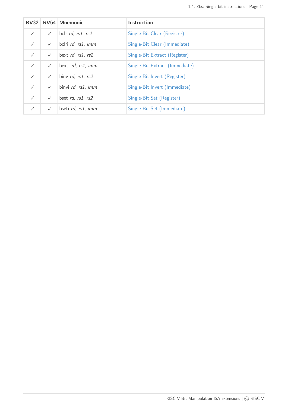|              |              | RV32 RV64 Mnemonic | Instruction                    |
|--------------|--------------|--------------------|--------------------------------|
| $\checkmark$ | $\checkmark$ | bclr rd, rs1, rs2  | Single-Bit Clear (Register)    |
| $\checkmark$ | $\checkmark$ | bclri rd, rs1, imm | Single-Bit Clear (Immediate)   |
| $\sqrt{}$    | $\checkmark$ | bext rd, rs1, rs2  | Single-Bit Extract (Register)  |
| $\sqrt{}$    | $\checkmark$ | bexti rd, rs1, imm | Single-Bit Extract (Immediate) |
| $\sqrt{}$    | $\checkmark$ | binv rd, rs1, rs2  | Single-Bit Invert (Register)   |
| $\checkmark$ | $\checkmark$ | binvi rd, rs1, imm | Single-Bit Invert (Immediate)  |
| $\sqrt{}$    | $\checkmark$ | bset rd, rs1, rs2  | Single-Bit Set (Register)      |
| $\checkmark$ | $\checkmark$ | bseti rd, rs1, imm | Single-Bit Set (Immediate)     |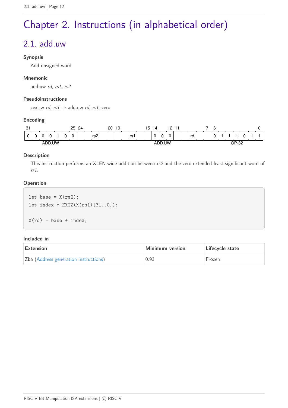# <span id="page-14-0"></span>Chapter 2. Instructions (in alphabetical order)

# <span id="page-14-1"></span>2.1. add.uw

#### **Synopsis**

Add unsigned word

#### **Mnemonic**

add.uw rd, rs1, rs2

#### **Pseudoinstructions**

zext.w rd,  $rs1 \rightarrow$  add.uw rd, rs1, zero

#### **Encoding**

| $\sim$<br>، پ    | 25     | 24  | 20<br>19 | ט י  | 14  | 10 |    | ∽ |  |            |  |  |
|------------------|--------|-----|----------|------|-----|----|----|---|--|------------|--|--|
|                  | 0<br>0 | rs2 |          | rs i |     |    | ra |   |  |            |  |  |
| <b>IW</b><br>AND |        |     |          |      | .UW |    |    |   |  | OP-32<br>ັ |  |  |

#### **Description**

This instruction performs an XLEN-wide addition between rs2 and the zero-extended least-significant word of rs1.

#### **Operation**

let base =  $X(rs2)$ ; let index =  $EXTZ(X(rs1) [31..0]);$  $X(rd) = base + index;$ 

| Extension                             | Minimum version | Lifecycle state |  |  |  |  |
|---------------------------------------|-----------------|-----------------|--|--|--|--|
| Zba (Address generation instructions) | 0.93            | Frozen          |  |  |  |  |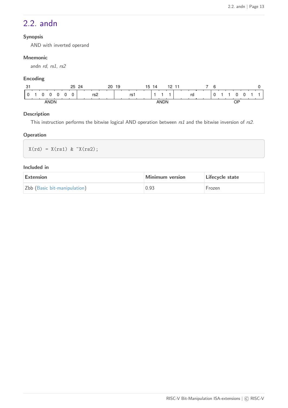### <span id="page-15-0"></span>2.2. andn

#### **Synopsis**

AND with inverted operand

#### **Mnemonic**

andn rd, rs1, rs2

#### **Encoding**

| $\sim$<br>. ت | 25<br>24 | 20  | 19 | 15<br>14    | 10<br>-1<br>- | $\sim$<br>h<br>∼ |         |
|---------------|----------|-----|----|-------------|---------------|------------------|---------|
|               | 0        | rs2 | rs |             | rd            | $\cdot$          |         |
| ANDN          |          |     |    | <b>ANDN</b> |               |                  | ∩פ<br>ັ |

#### **Description**

This instruction performs the bitwise logical AND operation between  $rs1$  and the bitwise inversion of  $rs2$ .

#### **Operation**

 $X(rd) = X(rs1) & X (rs2);$ 

| <b>Extension</b>             | Minimum version | Lifecycle state |  |  |  |  |
|------------------------------|-----------------|-----------------|--|--|--|--|
| Zbb (Basic bit-manipulation) | 0.93            | <b>Frozen</b>   |  |  |  |  |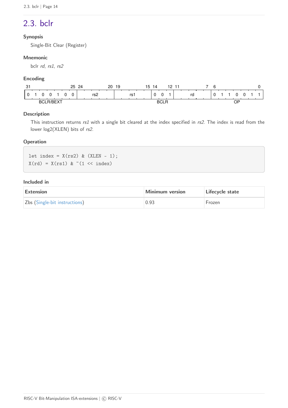# <span id="page-16-0"></span>2.3. bclr

#### **Synopsis**

Single-Bit Clear (Register)

#### **Mnemonic**

bclr rd, rs1, rs2

#### **Encoding**

| $\sim$<br>ا ت | 25<br>24<br>∸ | 20<br>19 | $-$<br>12<br>14<br>- 1<br>15<br>- |    |    |
|---------------|---------------|----------|-----------------------------------|----|----|
|               | rs2           | rs1      | U                                 | rd |    |
| BCI           |               |          | BCL.                              |    | OF |

#### **Description**

This instruction returns rs1 with a single bit cleared at the index specified in rs2. The index is read from the lower log2(XLEN) bits of rs2.

#### **Operation**

let index =  $X(rs2)$  &  $(XLEN - 1);$  $X(rd) = X(rs1) & (1 << index)$ 

| Extension                     | Minimum version | Lifecycle state |  |  |  |  |
|-------------------------------|-----------------|-----------------|--|--|--|--|
| Zbs (Single-bit instructions) | 0.93            | Frozen          |  |  |  |  |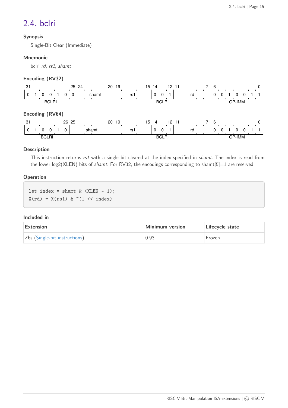### <span id="page-17-0"></span>2.4. bclri

#### **Synopsis**

Single-Bit Clear (Immediate)

#### **Mnemonic**

bclri rd, rs1, shamt

#### **Encoding (RV32)**

| -31             |        |              |          | 25 24    |  |       | 20    | -19 |     |  | 15 14    |              | 12, 11 |    |                | 6        |   |        |  |  |
|-----------------|--------|--------------|----------|----------|--|-------|-------|-----|-----|--|----------|--------------|--------|----|----------------|----------|---|--------|--|--|
| 0               | 0      |              | 0        | $\Omega$ |  | shamt |       |     | rs1 |  | $\Omega$ | $\Omega$     |        | rd |                | $\Omega$ | O |        |  |  |
|                 |        | <b>BCLRI</b> |          |          |  |       |       |     |     |  |          | <b>BCLRI</b> |        |    |                |          |   | OP-IMM |  |  |
| Encoding (RV64) |        |              |          |          |  |       |       |     |     |  |          |              |        |    |                |          |   |        |  |  |
| 31              |        |              |          | 26 25    |  |       | 20 19 |     |     |  | 15 14    |              | 12, 11 |    | $\overline{7}$ | - 6      |   |        |  |  |
| 0               | $_{0}$ | 0            | $\Omega$ |          |  | shamt |       |     | rs1 |  | $\Omega$ | $\Omega$     |        | rd |                | $\Omega$ | 0 | O      |  |  |
|                 |        | <b>BCLRI</b> |          |          |  |       |       |     |     |  |          | <b>BCLRI</b> |        |    |                |          |   | OP-IMM |  |  |

#### **Description**

This instruction returns rs1 with a single bit cleared at the index specified in shamt. The index is read from the lower  $log2(XLEN)$  bits of shamt. For RV32, the encodings corresponding to shamt $[5]=1$  are reserved.

#### **Operation**

let index = shamt  $&$  (XLEN - 1);  $X(\text{rd}) = X(\text{rs1})$  &  $\tilde{\cdot}$  (1 << index)

| Extension                     | Minimum version | Lifecycle state |  |  |  |  |
|-------------------------------|-----------------|-----------------|--|--|--|--|
| Zbs (Single-bit instructions) | 0.93            | Frozen          |  |  |  |  |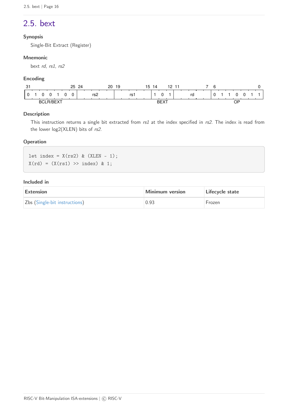## <span id="page-18-0"></span>2.5. bext

#### **Synopsis**

Single-Bit Extract (Register)

#### **Mnemonic**

bext rd, rs1, rs2

#### **Encoding**

| -31 |    |  | 25 | 24 |     | 20 | 19 |     | ט ו | 14 |             | 10 | -11 |    |  | ี |  |    |  |  |
|-----|----|--|----|----|-----|----|----|-----|-----|----|-------------|----|-----|----|--|---|--|----|--|--|
|     |    |  |    |    | rs2 |    |    | rs1 |     |    | ŋ           |    |     | rd |  |   |  |    |  |  |
|     | BC |  |    |    |     |    |    |     |     |    | <b>DEVT</b> |    |     |    |  |   |  | J۲ |  |  |

#### **Description**

This instruction returns a single bit extracted from rs1 at the index specified in rs2. The index is read from the lower log2(XLEN) bits of rs2.

#### **Operation**

let index =  $X(rs2)$  &  $(XLEN - 1);$  $X(rd) = (X(rs1) >> index) & 1;$ 

| Extension                     | Minimum version | Lifecycle state |
|-------------------------------|-----------------|-----------------|
| Zbs (Single-bit instructions) | 0.93            | Frozen          |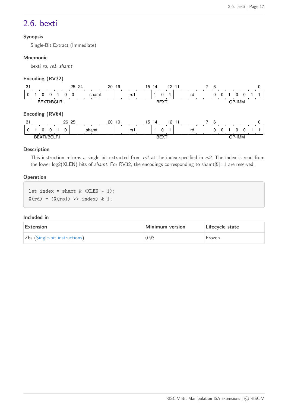### <span id="page-19-0"></span>2.6. bexti

#### **Synopsis**

Single-Bit Extract (Immediate)

#### **Mnemonic**

bexti rd, rs1, shamt

#### **Encoding (RV32)**

| 31                        | 25 24                  | 20 19 | 15 14<br>12, 11 | 6                          |        |
|---------------------------|------------------------|-------|-----------------|----------------------------|--------|
| 0<br>O                    | shamt<br>$\Omega$<br>0 | rs1   | 0               | 0<br>0<br>rd               | 0      |
| <b>BEXTI/BCLRI</b>        |                        |       | <b>BEXTI</b>    |                            | OP-IMM |
| Encoding (RV64)           |                        |       |                 |                            |        |
| -31                       | 26 25                  | 20 19 | 15 14<br>12 11  | -6<br>7                    | O      |
| $\Omega$<br>0<br>$\Omega$ | shamt<br>0             | rs1   | $\Omega$        | $\Omega$<br>rd<br>$\Omega$ | 0      |
| <b>BEXTI/BCLRI</b>        |                        |       | <b>BEXTI</b>    |                            | OP-IMM |

#### **Description**

This instruction returns a single bit extracted from rs1 at the index specified in rs2. The index is read from the lower  $log2(XLEN)$  bits of shamt. For RV32, the encodings corresponding to shamt $[5]=1$  are reserved.

#### **Operation**

let index = shamt  $&$  (XLEN - 1);  $X(rd) = (X(rs1) >> index) & 1;$ 

| Extension                     | Minimum version | Lifecycle state |
|-------------------------------|-----------------|-----------------|
| Zbs (Single-bit instructions) | 0.93            | Frozen          |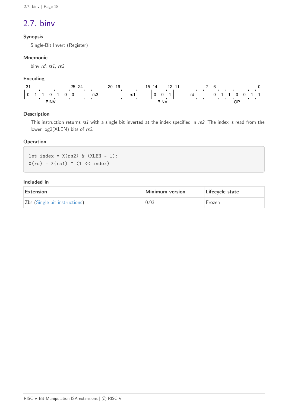### <span id="page-20-0"></span>2.7. binv

#### **Synopsis**

Single-Bit Invert (Register)

#### **Mnemonic**

binv rd, rs1, rs2

#### **Encoding**

| $\sim$<br>ا پ | 25<br>24<br>∸ | 20<br>19<br>15 | 10<br>14<br>-41-4<br>- | ĥ  |    |
|---------------|---------------|----------------|------------------------|----|----|
|               | rs2           | rs1            | $\Omega$<br>∼          | rd |    |
| <b>BINV</b>   |               |                | <b>BINV</b>            |    | ΟP |

#### **Description**

This instruction returns rs1 with a single bit inverted at the index specified in rs2. The index is read from the lower log2(XLEN) bits of rs2.

#### **Operation**

let index =  $X(rs2)$  &  $(XLEN - 1);$  $X(rd) = X(rs1)$  (1 << index)

| <b>Extension</b>              | Minimum version | Lifecycle state |
|-------------------------------|-----------------|-----------------|
| Zbs (Single-bit instructions) | 0.93            | Frozen          |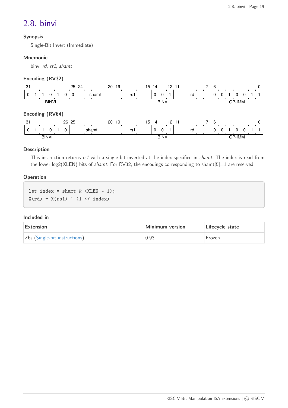### <span id="page-21-0"></span>2.8. binvi

#### **Synopsis**

Single-Bit Invert (Immediate)

#### **Mnemonic**

binvi rd, rs1, shamt

#### **Encoding (RV32)**

| -31             |  |              |   | 25 24    |       | 20 | 19    |     | 15 14 |          |             | 12, 11 |    |  | 6 |   |          |  |   |
|-----------------|--|--------------|---|----------|-------|----|-------|-----|-------|----------|-------------|--------|----|--|---|---|----------|--|---|
| 0               |  |              | 0 | $\Omega$ | shamt |    |       | rs1 |       | $\Omega$ | $\Omega$    |        | rd |  | 0 | 0 | O        |  |   |
|                 |  | <b>BINVI</b> |   |          |       |    |       |     |       |          | <b>BINV</b> |        |    |  |   |   | OP-IMM   |  |   |
| Encoding (RV64) |  |              |   |          |       |    |       |     |       |          |             |        |    |  |   |   |          |  |   |
| 31              |  |              |   | 26 25    |       |    | 20 19 |     | 15 14 |          |             | 12 11  |    |  | 6 |   |          |  | O |
| 0               |  |              | 0 |          | shamt |    |       | rs1 |       | $\Omega$ | $\Omega$    |        | rd |  | 0 | 0 | $^{(1)}$ |  |   |
|                 |  | <b>BINVI</b> |   |          |       |    |       |     |       |          | <b>BINV</b> |        |    |  |   |   | OP-IMM   |  |   |

#### **Description**

This instruction returns rs1 with a single bit inverted at the index specified in shamt. The index is read from the lower  $log2(XLEN)$  bits of shamt. For RV32, the encodings corresponding to shamt $[5]=1$  are reserved.

#### **Operation**

let index = shamt  $&$  (XLEN - 1);  $X(rd) = X(rs1)$  (1 << index)

| Extension                     | Minimum version | Lifecycle state |
|-------------------------------|-----------------|-----------------|
| Zbs (Single-bit instructions) | 0.93            | Frozen          |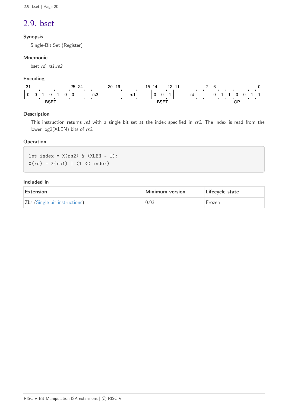### <span id="page-22-0"></span>2.9. bset

#### **Synopsis**

Single-Bit Set (Register)

#### **Mnemonic**

bset rd, rs1,rs2

#### **Encoding**

| $\sim$<br>ا ت | 25<br>24        | 20<br>19 | 15<br>12<br>14<br>-11 | ี  |
|---------------|-----------------|----------|-----------------------|----|
|               | rs <sub>2</sub> | rs1      | 0<br>rd               |    |
| <b>BSET</b>   |                 |          | BSET                  | ОP |

#### **Description**

This instruction returns rs1 with a single bit set at the index specified in rs2. The index is read from the lower log2(XLEN) bits of rs2.

#### **Operation**

let index =  $X(rs2)$  &  $(XLEN - 1);$  $X(rd) = X(rs1)$  | (1 << index)

| <b>Extension</b>              | Minimum version | Lifecycle state |
|-------------------------------|-----------------|-----------------|
| Zbs (Single-bit instructions) | 0.93            | Frozen          |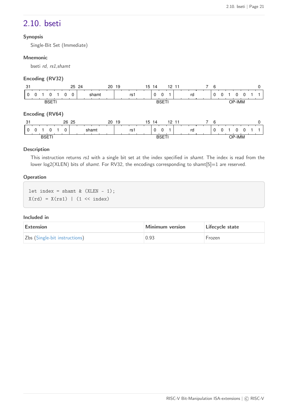### <span id="page-23-0"></span>2.10. bseti

#### **Synopsis**

Single-Bit Set (Immediate)

#### **Mnemonic**

bseti rd, rs1,shamt

#### **Encoding (RV32)**

| -31             |          |              |   | 25 24    |       |  | 20 19 |     |  | 15 14    |              | 12, 11    |    |   | 6 |   |          |  |   |
|-----------------|----------|--------------|---|----------|-------|--|-------|-----|--|----------|--------------|-----------|----|---|---|---|----------|--|---|
| 0               | $\Omega$ |              | 0 | $\Omega$ | shamt |  |       | rs1 |  | $\Omega$ | $\Omega$     |           | rd |   | 0 | 0 | 0        |  |   |
|                 |          | <b>BSETI</b> |   |          |       |  |       |     |  |          | <b>BSETI</b> |           |    |   |   |   | OP-IMM   |  |   |
| Encoding (RV64) |          |              |   |          |       |  |       |     |  |          |              |           |    |   |   |   |          |  |   |
| 31              |          |              |   | 26 25    |       |  | 20 19 |     |  | 15 14    |              | $12 \t11$ |    | 7 | 6 |   |          |  | O |
| $\Omega$        | $\Omega$ |              | 0 |          | shamt |  |       | rs1 |  | $\Omega$ | $\Omega$     |           | rd |   | 0 | 0 | $^{(1)}$ |  |   |
|                 |          | <b>BSETI</b> |   |          |       |  |       |     |  |          | <b>BSETI</b> |           |    |   |   |   | OP-IMM   |  |   |

#### **Description**

This instruction returns rs1 with a single bit set at the index specified in shamt. The index is read from the lower log2(XLEN) bits of shamt. For RV32, the encodings corresponding to shamt[5]=1 are reserved.

#### **Operation**

let index = shamt  $&$  (XLEN - 1);  $X(rd) = X(rs1)$  | (1 << index)

| Extension                     | Minimum version | Lifecycle state |
|-------------------------------|-----------------|-----------------|
| Zbs (Single-bit instructions) | 0.93            | Frozen          |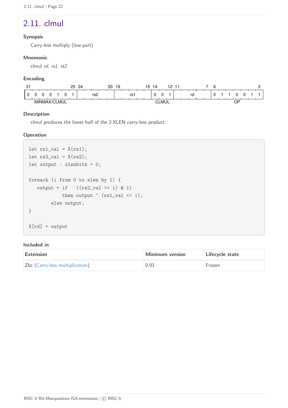### <span id="page-24-0"></span>2.11. clmul

#### **Synopsis**

Carry-less multiply (low-part)

#### **Mnemonic**

clmul rd, rs1, rs2

#### **Encoding**

| $\sim$<br>ا ب | っに | 2 <sub>A</sub> | 20<br>19 |      | 14<br>.5       | - 1 |    | ۰ |         |  |
|---------------|----|----------------|----------|------|----------------|-----|----|---|---------|--|
|               |    | rs⁄∠           |          | rs i |                |     | ra |   |         |  |
|               |    |                |          |      | $\sim$<br>-MUL |     |    |   | ∩P<br>ັ |  |

#### **Description**

clmul produces the lower half of the 2·XLEN carry-less product.

#### **Operation**

```
let rs1_val = X(rs1);let rs2_val = X(rs2);let output : xlenbits = 0;
foreach (i from 0 to xlen by 1) {
   output = if ((rs2_val \gg i) \& 1)then output \hat{ } (rs1_val \leq i);
          else output;
}
X[rd] = output
```

| <b>Extension</b>                | Minimum version | Lifecycle state |
|---------------------------------|-----------------|-----------------|
| Zbc (Carry-less multiplication) | 0.93            | Frozen          |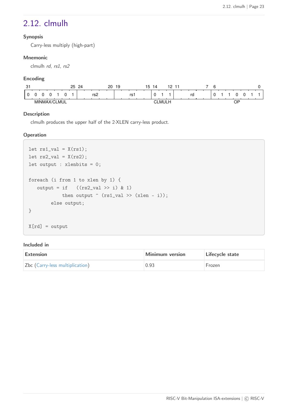### <span id="page-25-0"></span>2.12. clmulh

#### **Synopsis**

Carry-less multiply (high-part)

#### **Mnemonic**

clmulh rd, rs1, rs2

#### **Encoding**

| $\sim$<br>، ب | 25 | 20<br>$\Omega$ | 19 | -<br>0 ו<br>14<br>'ა<br>$\sim$ | - - |         |  |
|---------------|----|----------------|----|--------------------------------|-----|---------|--|
|               |    | rs2            | rs | -<br>ັບ                        | rr  |         |  |
|               | .  |                |    | r'<br>. .<br>м                 |     | ⊣ו<br>ັ |  |

#### **Description**

clmulh produces the upper half of the 2·XLEN carry-less product.

#### **Operation**

```
let rs1_val = X(rs1);let rs2_val = X(rs2);let output : xlenbits = 0;
foreach (i from 1 to xlen by 1) {
   output = if ((rs2_val \gg i) & 1)then output \hat{ } (rs1_val >> (xlen - i));
          else output;
}
X[rd] = output
```

| Extension                       | Minimum version | Lifecycle state |
|---------------------------------|-----------------|-----------------|
| Zbc (Carry-less multiplication) | 0.93            | Frozen          |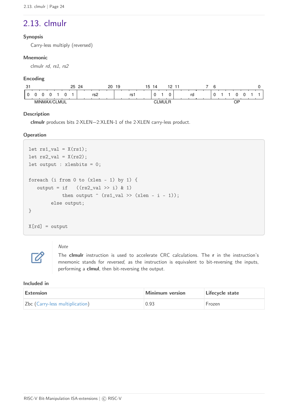# <span id="page-26-0"></span>2.13. clmulr

#### **Synopsis**

Carry-less multiply (reversed)

#### **Mnemonic**

clmulr rd, rs1, rs2

#### **Encoding**

| $\sim$<br>، پ | っに | 20<br>റപ | l9  | 14<br>15 |    |          |  |
|---------------|----|----------|-----|----------|----|----------|--|
|               |    | rs2      | rs. | ◠<br>    | rd |          |  |
| MIN           |    |          |     | -<br>MЛ  |    | ∩F<br>ັັ |  |

#### **Description**

**clmulr** produces bits 2·XLEN−2:XLEN-1 of the 2·XLEN carry-less product.

#### **Operation**

```
let rs1_val = X(rs1);let rs2_val = X(rs2);let output : xlenbits = 0;
foreach (i from 0 to (xlen - 1) by 1) {
   output = if ((rs2_val \gg i) & 1)then output \hat{ } (rs1_val >> (xlen - i - 1));
          else output;
}
X[rd] = output
```
# $\boldsymbol{\mathcal{Z}}$

#### Note

The **clmulr** instruction is used to accelerate CRC calculations. The **r** in the instruction's mnemonic stands for reversed, as the instruction is equivalent to bit-reversing the inputs, performing a **clmul**, then bit-reversing the output.

| Extension                       | Minimum version | Lifecycle state |
|---------------------------------|-----------------|-----------------|
| Zbc (Carry-less multiplication) | 0.93            | <b>Frozen</b>   |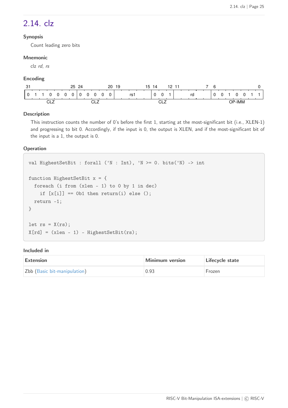### <span id="page-27-0"></span>2.14. clz

#### **Synopsis**

Count leading zero bits

#### **Mnemonic**

clz rd, rs

#### **Encoding**

| ი.<br>ം |  |                   |  | 25 | 24 |        |   | 20 | 19 |      | -<br>ר ו | $\overline{4}$ |              | 19 |  |    | Բ |  |               |  |  |
|---------|--|-------------------|--|----|----|--------|---|----|----|------|----------|----------------|--------------|----|--|----|---|--|---------------|--|--|
|         |  |                   |  |    |    |        | 0 | ∩  |    | rs i |          |                | $\sim$<br>U  |    |  | rd |   |  |               |  |  |
|         |  | <b>CIT</b><br>--- |  |    |    | $\sim$ |   |    |    |      |          |                | $\sim$<br>-- |    |  |    |   |  | <b>OP-IMM</b> |  |  |

#### **Description**

This instruction counts the number of 0's before the first 1, starting at the most-significant bit (i.e., XLEN-1) and progressing to bit 0. Accordingly, if the input is 0, the output is XLEN, and if the most-significant bit of the input is a 1, the output is 0.

#### **Operation**

```
val HighestSetBit : forall ('N : Int), 'N >= 0. bits('N) -> int
function HighestSetBit x = {
    foreach (i from (xlen - 1) to 0 by 1 in dec)
    if [x[i]] == 0b1 then return(i) else ();
    return -1;
}
let rs = X(rs);
X[rd] = (xlen - 1) - HighestSetBit(rs);
```

| <b>Extension</b>             | <b>Minimum version</b> | Lifecycle state |
|------------------------------|------------------------|-----------------|
| Zbb (Basic bit-manipulation) | 0.93                   | Frozen          |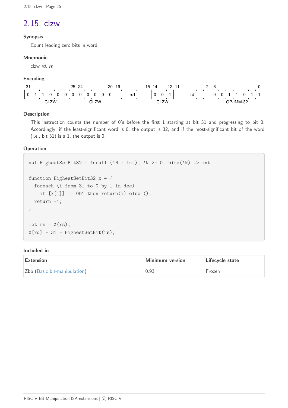# <span id="page-28-0"></span>2.15. clzw

#### **Synopsis**

Count leading zero bits in word

#### **Mnemonic**

clzw rd, rs

#### **Encoding**

| -21<br>، ت |  |           |  | 25 | 24 |              | 20 | 19 |    | 15 | $\overline{4}$ |    | 19 |  |    |  | ี |     |        |          |  |
|------------|--|-----------|--|----|----|--------------|----|----|----|----|----------------|----|----|--|----|--|---|-----|--------|----------|--|
|            |  |           |  |    |    |              |    |    | rs |    |                | 0  |    |  | rd |  |   |     |        |          |  |
|            |  | $C1$ $7M$ |  |    |    | 7M<br>$\sim$ |    |    |    |    | $\sim$         | 7M |    |  |    |  |   | ND. | -IMM-: | ററ<br>ےت |  |

#### **Description**

This instruction counts the number of 0's before the first 1 starting at bit 31 and progressing to bit 0. Accordingly, if the least-significant word is 0, the output is 32, and if the most-significant bit of the word (i.e., bit 31) is a 1, the output is 0.

#### **Operation**

```
val HighestSetBit32 : forall ('N : Int), 'N >= 0. bits('N) -> int
function HighestSetBit32 x = {
    foreach (i from 31 to 0 by 1 in dec)
    if [x[i]] == 0b1 then return(i) else ();
    return -1;
}
let rs = X(rs);
X[rd] = 31 - HigherSetBit(rs);
```

| Extension                    | Minimum version | Lifecycle state |
|------------------------------|-----------------|-----------------|
| Zbb (Basic bit-manipulation) | 0.93            | Frozen          |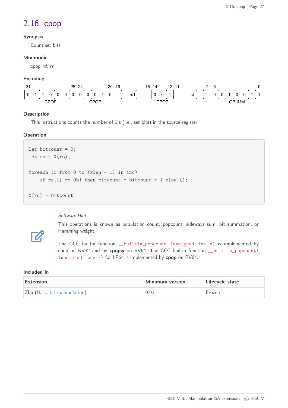### <span id="page-29-0"></span>2.16. cpop

#### **Synopsis**

Count set bits

#### **Mnemonic**

cpop rd, rs

#### **Encoding**

| $\sim$<br>ا آب |  |           |  | 25 | ?⊿ |   |           | 20 | 19 |    | 15 | 14 |           | 10 |  |    |  |    |       |  |  |
|----------------|--|-----------|--|----|----|---|-----------|----|----|----|----|----|-----------|----|--|----|--|----|-------|--|--|
|                |  |           |  |    |    | υ |           |    |    | rs |    |    |           |    |  | rd |  |    |       |  |  |
|                |  | CP(<br>∪F |  |    |    |   | ጉPር<br>OP |    |    |    |    |    | CPOP<br>ັ |    |  |    |  | םר | '-IMM |  |  |

#### **Description**

This instructions counts the number of 1's (i.e., set bits) in the source register.

#### **Operation**

```
let bitcount = 0;
let rs = X(rs);
foreach (i from 0 to (xlen - 1) in inc)
    if rs[i] == 0b1 then bitcount = bitcount + 1 else ();
X[rd] = bitcount
```
#### Software Hint

This operations is known as population count, popcount, sideways sum, bit summation, or Hamming weight.

The GCC builtin function \_\_builtin\_popcount (unsigned int x) is implemented by cpop on RV32 and by **cpopw** on RV64. The GCC builtin function \_\_builtin\_popcountl (unsigned long x) for LP64 is implemented by **cpop** on RV64.

#### **Included in**

 $\boldsymbol{\mathbb{Z}}$ 

| Extension                    | Minimum version | Lifecycle state |
|------------------------------|-----------------|-----------------|
| Zbb (Basic bit-manipulation) | 0.93            | Frozen          |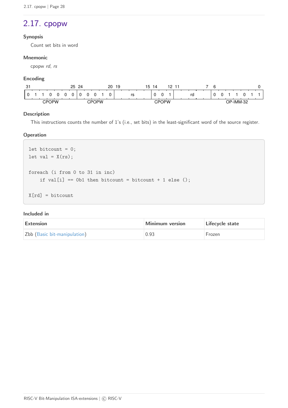### <span id="page-30-0"></span>2.17. cpopw

#### **Synopsis**

Count set bits in word

#### **Mnemonic**

cpopw rd, rs

#### **Encoding**

| $\sim$<br>. ٿ |              |   | 25 | 24 |              | 20 | 19 |    | 15 | 14 |              | 10 |  |    | 6 |  |           |  |
|---------------|--------------|---|----|----|--------------|----|----|----|----|----|--------------|----|--|----|---|--|-----------|--|
|               |              | 0 |    |    |              |    |    | rs |    |    |              |    |  | rd |   |  |           |  |
|               | <b>CPOPW</b> |   |    |    | <b>CPOPW</b> |    |    |    |    |    | <b>CPOPW</b> |    |  |    |   |  | OP-IMM-32 |  |

#### **Description**

This instructions counts the number of 1's (i.e., set bits) in the least-significant word of the source register.

#### **Operation**

```
let bitcount = 0;
let val = X(rs);
foreach (i from 0 to 31 in inc)
    if val[i] == 0b1 then bitcount = bitcount + 1 else ();
X[rd] = bitcount
```

| Extension                    | Minimum version | Lifecycle state |
|------------------------------|-----------------|-----------------|
| Zbb (Basic bit-manipulation) | 0.93            | Frozen          |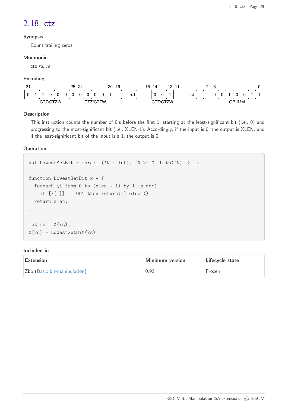### <span id="page-31-0"></span>2.18. ctz

#### **Synopsis**

Count trailing zeros

#### **Mnemonic**

ctz rd, rs

#### **Encoding**

| 3. |     |            | 25 | 24<br><u>__</u> |  | 20 | 19 |      | 「 | 4 |             | 19 |  |    | $\sim$<br>h |  |        |  |  |
|----|-----|------------|----|-----------------|--|----|----|------|---|---|-------------|----|--|----|-------------|--|--------|--|--|
|    |     |            |    |                 |  |    |    | rs i |   |   | $\sim$<br>U |    |  | rd |             |  |        |  |  |
|    | . . | <b>710</b> |    |                 |  |    |    |      |   |   |             |    |  |    |             |  | OP-IMM |  |  |

#### **Description**

This instruction counts the number of 0's before the first 1, starting at the least-significant bit (i.e., 0) and progressing to the most-significant bit (i.e., XLEN-1). Accordingly, if the input is 0, the output is XLEN, and if the least-significant bit of the input is a 1, the output is 0.

#### **Operation**

```
val LowestSetBit : forall ('N : Int), 'N >= 0. bits('N) -> int
function LowestSetBit x = {
    foreach (i from 0 to (xlen - 1) by 1 in dec)
    if [x[i]] == 0b1 then return(i) else ();
    return xlen;
}
let rs = X(rs);
X[rd] = LovestSetBit(rs);
```

| <b>Extension</b>             | <b>Minimum version</b> | Lifecycle state |
|------------------------------|------------------------|-----------------|
| Zbb (Basic bit-manipulation) | 0.93                   | Frozen          |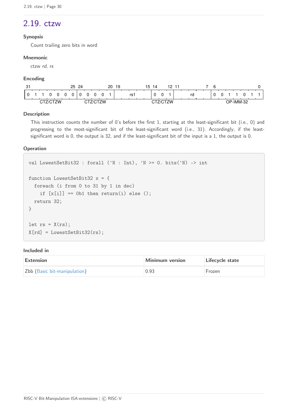### <span id="page-32-0"></span>2.19. ctzw

#### **Synopsis**

Count trailing zero bits in word

#### **Mnemonic**

ctzw rd, rs

#### **Encoding**

| $\sim$<br>ഄ |  |     | 25 | 24<br><u>__</u> |  | 20 | 19 |    | ֿ | 4 |       | 12     | -44 |    |  |                  |          |  |
|-------------|--|-----|----|-----------------|--|----|----|----|---|---|-------|--------|-----|----|--|------------------|----------|--|
|             |  |     |    |                 |  |    |    | rs |   |   | O<br> |        |     | rd |  |                  |          |  |
|             |  | フハハ |    |                 |  |    |    |    |   |   |       | 7/CT7M |     |    |  | $\bigcap$ -IMM-. | ററ<br>ےت |  |

#### **Description**

This instruction counts the number of 0's before the first 1, starting at the least-significant bit (i.e., 0) and progressing to the most-significant bit of the least-significant word (i.e., 31). Accordingly, if the leastsignificant word is 0, the output is 32, and if the least-significant bit of the input is a 1, the output is 0.

#### **Operation**

```
val LowestSetBit32 : forall ('N : Int), 'N >= 0. bits('N) -> int
function LowestSetBit32 x = {
    foreach (i from 0 to 31 by 1 in dec)
    if [x[i]] == 0b1 then return(i) else ();
    return 32;
}
let rs = X(rs);
X[rd] = LovestSetBit32(rs);
```

| Extension                    | Minimum version | Lifecycle state |
|------------------------------|-----------------|-----------------|
| Zbb (Basic bit-manipulation) | 0.93            | Frozen          |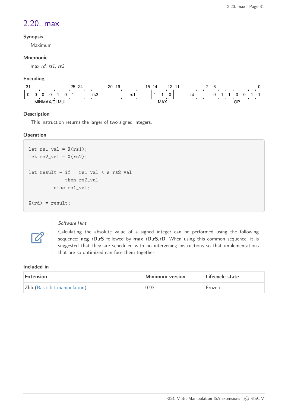### <span id="page-33-0"></span>2.20. max

#### **Synopsis**

Maximum

#### **Mnemonic**

max rd, rs1, rs2

#### **Encoding**

| $\sim$<br>. پ | 25 | ົດມ | 20 | .9 |    | 15 | 14                |  |    |  |  |          |  |  |
|---------------|----|-----|----|----|----|----|-------------------|--|----|--|--|----------|--|--|
|               |    | rs2 |    |    | rs |    |                   |  | ra |  |  |          |  |  |
|               |    |     |    |    |    |    | MAY<br>$1 \vee 1$ |  |    |  |  | ∩F<br>ັັ |  |  |

#### **Description**

This instruction returns the larger of two signed integers.

#### **Operation**

```
let rs1_val = X(rs1);let rs2_val = X(rs2);let result = if rs1_val < s rs2_val  then rs2_val
           else rs1_val;
X(rd) = result;
```
#### Software Hint

Calculating the absolute value of a signed integer can be performed using the following sequence: **neg rD,rS** followed by **max rD,rS,rD**. When using this common sequence, it is suggested that they are scheduled with no intervening instructions so that implementations that are so optimized can fuse them together.

#### **Included in**

 $\boldsymbol{\mathcal{Z}}$ 

| Extension                    | Minimum version | Lifecycle state |
|------------------------------|-----------------|-----------------|
| Zbb (Basic bit-manipulation) | 0.93            | Frozen          |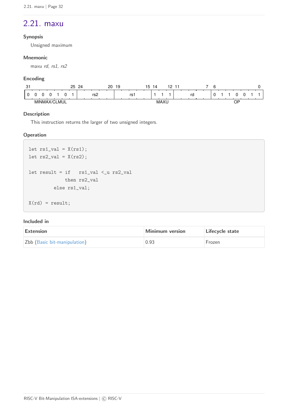### <span id="page-34-0"></span>2.21. maxu

#### **Synopsis**

Unsigned maximum

#### **Mnemonic**

maxu rd, rs1, rs2

#### **Encoding**

| $\sim$<br>ا ب |       |  |       | 25 | 24 |     | 20 | ر ا |    | 15 | 14 |                                                | -10<br>- | ٠ |    |  |  |         |  |  |
|---------------|-------|--|-------|----|----|-----|----|-----|----|----|----|------------------------------------------------|----------|---|----|--|--|---------|--|--|
|               |       |  |       |    |    | rs2 |    |     | rs |    |    |                                                |          |   | rd |  |  |         |  |  |
|               | MINMA |  | CLMUL |    |    |     |    |     |    |    |    | $\ddot{\phantom{0}}$<br>. A A<br><b>IVIAAC</b> |          |   |    |  |  | NΡ<br>ັ |  |  |

#### **Description**

This instruction returns the larger of two unsigned integers.

#### **Operation**

```
let rs1_val = X(rs1);let rs2_val = X(rs2);let result = if rs1_val < u rs2_val  then rs2_val
           else rs1_val;
X(rd) = result;
```

| Extension                    | Minimum version | Lifecycle state |
|------------------------------|-----------------|-----------------|
| Zbb (Basic bit-manipulation) | 0.93            | Frozen          |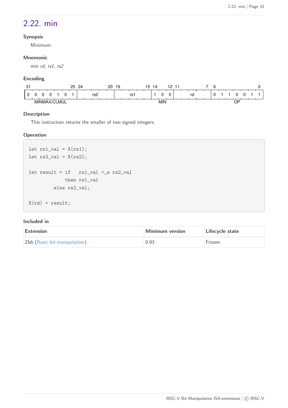### <span id="page-35-0"></span>2.22. min

#### **Synopsis**

Minimum

#### **Mnemonic**

min rd, rs1, rs2

#### **Encoding**

| $\sim$<br>ັບ | $\sim$ | ົດ∧ | 20 | .9 |    | 15 | 4 |                     |    |  |  |          |  |  |
|--------------|--------|-----|----|----|----|----|---|---------------------|----|--|--|----------|--|--|
|              |        | rs2 |    |    | rs |    |   |                     | ra |  |  |          |  |  |
|              |        |     |    |    |    |    |   | <b>A 415</b><br>MIN |    |  |  | ∩F<br>ັັ |  |  |

#### **Description**

This instruction returns the smaller of two signed integers.

#### **Operation**

```
let rs1_val = X(rs1);let rs2_val = X(rs2);let result = if rs1_val < s rs2_val  then rs1_val
           else rs2_val;
X(rd) = result;
```

| Extension                    | Minimum version | Lifecycle state |
|------------------------------|-----------------|-----------------|
| Zbb (Basic bit-manipulation) | 0.93            | Frozen          |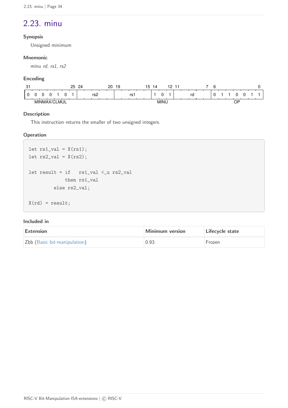### <span id="page-36-0"></span>2.23. minu

#### **Synopsis**

Unsigned minimum

#### **Mnemonic**

minu rd, rs1, rs2

#### **Encoding**

| $\sim$<br>ັບ | っに<br>້ | 2 <sub>A</sub> | 20<br>١9 | .5 | - 1<br>14                  |    | ۰ |         |
|--------------|---------|----------------|----------|----|----------------------------|----|---|---------|
|              |         | rs⁄∠           |          | rs |                            | rc |   |         |
|              |         |                |          |    | MIN<br>$\cdot$ .<br>______ |    |   | ∩P<br>ັ |

#### **Description**

This instruction returns the smaller of two unsigned integers.

#### **Operation**

```
let rs1_val = X(rs1);let rs2_val = X(rs2);let result = if rs1_val < u rs2_val  then rs1_val
           else rs2_val;
X(rd) = result;
```

| Extension                    | Minimum version | Lifecycle state |
|------------------------------|-----------------|-----------------|
| Zbb (Basic bit-manipulation) | 0.93            | <b>Frozen</b>   |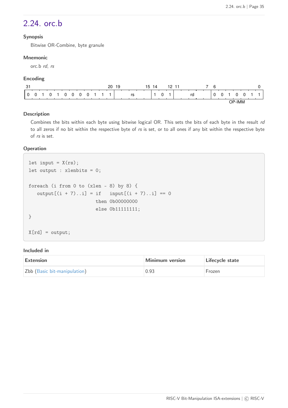### <span id="page-37-0"></span>2.24. orc.b

#### **Synopsis**

Bitwise OR-Combine, byte granule

#### **Mnemonic**

orc.b rd, rs

#### **Encoding**

| 31       |          |          |          |                |   |          |  | 20 | 19 |    | 15 | 14 |   | 12 | - 11 |    | 6 |  |        |  |  |
|----------|----------|----------|----------|----------------|---|----------|--|----|----|----|----|----|---|----|------|----|---|--|--------|--|--|
| $\Omega$ | $\Omega$ | $\Omega$ | $\Omega$ | $\overline{0}$ | 0 | $\Omega$ |  |    |    | rs |    |    | 0 | и  |      | rd |   |  |        |  |  |
|          |          |          |          |                |   |          |  |    |    |    |    |    |   |    |      |    |   |  | ာP-IMM |  |  |

#### **Description**

Combines the bits within each byte using bitwise logical OR. This sets the bits of each byte in the result rd to all zeros if no bit within the respective byte of rs is set, or to all ones if any bit within the respective byte of rs is set.

#### **Operation**

```
let input = X(rs);
let output : xlenbits = 0;
foreach (i from 0 to (xlen - 8) by 8) {
   output[(i + 7)...i] = if input[(i + 7)...i] == 0  then 0b00000000
                        else 0b11111111;
}
X[rd] = output;
```

| <b>Extension</b>             | <b>Minimum version</b> | Lifecycle state |
|------------------------------|------------------------|-----------------|
| Zbb (Basic bit-manipulation) | 0.93                   | Frozen          |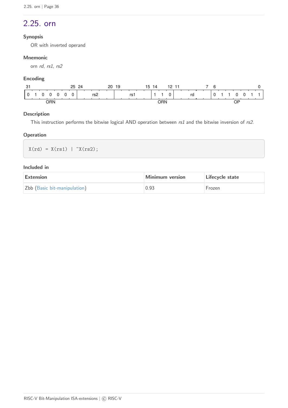### <span id="page-38-0"></span>2.25. orn

#### **Synopsis**

OR with inverted operand

#### **Mnemonic**

orn rd, rs1, rs2

#### **Encoding**

| $\sim$<br>J. | 24<br>25<br>20 | 15<br>19 | 12<br>-11<br>14 | ี              |    |
|--------------|----------------|----------|-----------------|----------------|----|
| 0            | rs2            | rs1      | 0               | $\Omega$<br>rd |    |
| orn          |                |          | ORN             |                | ОF |

#### **Description**

This instruction performs the bitwise logical AND operation between  $rs1$  and the bitwise inversion of  $rs2$ .

#### **Operation**

 $X(rd) = X(rs1) | ^xX(rs2);$ 

| Extension                    | Minimum version | Lifecycle state |
|------------------------------|-----------------|-----------------|
| Zbb (Basic bit-manipulation) | 0.93            | Frozen          |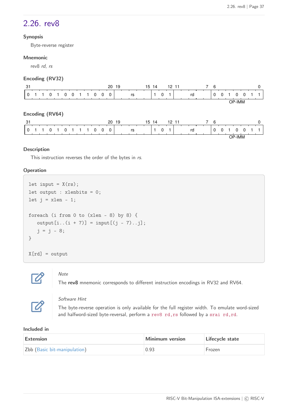### <span id="page-39-0"></span>2.26. rev8

#### **Synopsis**

Byte-reverse register

#### **Mnemonic**

rev8 rd, rs

#### **Encoding (RV32)**

| -31 |  |  |  |  |                         | 20 | -19 |                       |  | 15 14 |             | 12 11 |    |  | -6 |                 |        |            |  |
|-----|--|--|--|--|-------------------------|----|-----|-----------------------|--|-------|-------------|-------|----|--|----|-----------------|--------|------------|--|
|     |  |  |  |  | 0 1 1 0 1 0 0 1 1 0 0 0 |    |     | <b>Santa Contract</b> |  |       | $\mathbf 0$ |       | rd |  |    | $^{\prime}$ 0 0 |        | $0\quad 0$ |  |
|     |  |  |  |  |                         |    |     |                       |  |       |             |       |    |  |    |                 | OP-IMM |            |  |

#### **Encoding (RV64)**

|                      |  |  |  |                     | 20 | -19 |    |  | 15 14 |          | 12 11 |    |  | <b>6</b> |     |    |      |  |             |
|----------------------|--|--|--|---------------------|----|-----|----|--|-------|----------|-------|----|--|----------|-----|----|------|--|-------------|
| $10 \quad 1 \quad 1$ |  |  |  | 0 1 0 1 1 1 0 0 0 0 |    |     | rs |  |       | $\Omega$ |       | rd |  | 0        | - 0 |    |      |  | $0 \t1 \t1$ |
|                      |  |  |  |                     |    |     |    |  |       |          |       |    |  |          |     | ∟י | ·IMM |  |             |

#### **Description**

This instruction reverses the order of the bytes in rs.

#### **Operation**

```
let input = X(rs);
let output : xlenbits = 0;
let j = xlen - 1;
foreach (i from 0 to (xlen - 8) by 8) {
   output[i..(i + 7)] = input[(j - 7)..j];j = j - 8;}
X[rd] = output
```


#### Note

The **rev8** mnemonic corresponds to different instruction encodings in RV32 and RV64.



#### Software Hint

The byte-reverse operation is only available for the full register width. To emulate word-sized and halfword-sized byte-reversal, perform a rev8 rd, rs followed by a srai rd, rd.

| Extension                    | Minimum version | Lifecycle state |
|------------------------------|-----------------|-----------------|
| Zbb (Basic bit-manipulation) | 0.93            | Frozen          |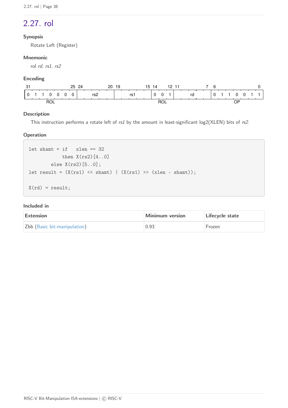## <span id="page-40-0"></span>2.27. rol

#### **Synopsis**

Rotate Left (Register)

#### **Mnemonic**

rol rd, rs1, rs2

#### **Encoding**

|                    | 24<br>25<br>20  | 15<br>-19 | 12 11<br>-14 | ĥ                 |  |
|--------------------|-----------------|-----------|--------------|-------------------|--|
| $\Omega$<br>0<br>0 | $\Omega$<br>rs2 | rs1       | $\Omega$     | $0 \quad 1$<br>rd |  |
|                    |                 |           | ROL          |                   |  |

#### **Description**

This instruction performs a rotate left of rs1 by the amount in least-significant log2(XLEN) bits of rs2.

#### **Operation**

```
let shamt = if xlen == 32then X(rs2)[4..0]  else X(rs2)[5..0];
let result = (X(rs1) \leq shamt) | (X(rs1) \geq (xlen - shamt));
X(rd) = result;
```

| Extension                    | Minimum version | Lifecycle state |
|------------------------------|-----------------|-----------------|
| Zbb (Basic bit-manipulation) | 0.93            | Frozen          |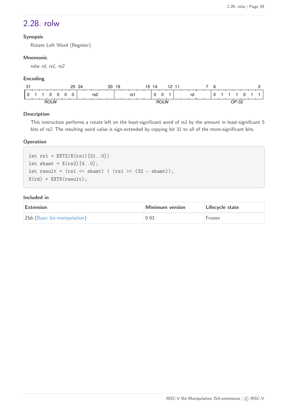### <span id="page-41-0"></span>2.28. rolw

#### **Synopsis**

Rotate Left Word (Register)

#### **Mnemonic**

rolw rd, rs1, rs2

#### **Encoding**

| $\sim$<br>. ت | 25<br>24 | . .<br>20<br>19<br>າົ | 19<br>$\overline{4}$<br>-44 | ⌒     |     |
|---------------|----------|-----------------------|-----------------------------|-------|-----|
|               | rs2      | rs.                   | O                           | rd    |     |
| <b>ROLW</b>   |          |                       | <b>ROLW</b>                 | פר-ם∩ | ັບ∠ |

#### **Description**

This instruction performs a rotate left on the least-significant word of rs1 by the amount in least-significant 5 bits of rs2. The resulting word value is sign-extended by copying bit 31 to all of the more-significant bits.

#### **Operation**

 $let rs1 = EXTZ(X(rs1)[31..0])$ let shamt =  $X(rs2)[4..0]$ ; let result =  $(rs1 \lt\lt shamt)$  |  $(rs1 \gt\lt(32 - shamt));$  $X(rd) = EXTS(result);$ 

| Extension                    | Minimum version | Lifecycle state |
|------------------------------|-----------------|-----------------|
| Zbb (Basic bit-manipulation) | 0.93            | Frozen          |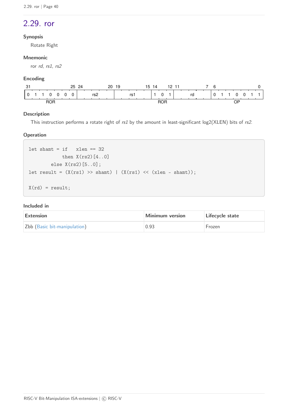### <span id="page-42-0"></span>2.29. ror

#### **Synopsis**

Rotate Right

#### **Mnemonic**

ror rd, rs1, rs2

#### **Encoding**

| n.<br>. ٿ  | 24<br>25<br>20 | 15<br>19 | 12.<br>- 11<br>14 | ี              |    |
|------------|----------------|----------|-------------------|----------------|----|
| $^{\circ}$ | rs2            | rs1      | 0                 | $\Omega$<br>rd |    |
| <b>ROR</b> |                |          | <b>ROR</b>        |                | JF |

#### **Description**

This instruction performs a rotate right of rs1 by the amount in least-significant log2(XLEN) bits of rs2.

#### **Operation**

```
let shamt = if xlen == 32then X(rs2)[4..0]  else X(rs2)[5..0];
let result = (X(rs1) >> shamt) | (X(rs1) << (xlen - shamt));
X(rd) = result;
```

| Extension                    | Minimum version | Lifecycle state |
|------------------------------|-----------------|-----------------|
| Zbb (Basic bit-manipulation) | 0.93            | Frozen          |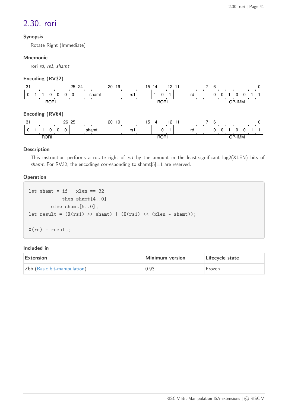### <span id="page-43-0"></span>2.30. rori

#### **Synopsis**

Rotate Right (Immediate)

#### **Mnemonic**

rori rd, rs1, shamt

#### **Encoding (RV32)**

| 31              | 25 24                | 20 19 |     | 15 14 | 12, 11   |    | 6            |   |        |  |
|-----------------|----------------------|-------|-----|-------|----------|----|--------------|---|--------|--|
|                 | 0<br>0               | shamt | rs1 |       | $\Omega$ | rd | $\mathbf{0}$ | U |        |  |
| <b>RORI</b>     |                      |       |     |       | RORI     |    |              |   | OP-IMM |  |
| Encoding (RV64) |                      |       |     |       |          |    |              |   |        |  |
| -31             | 26 25                | 20 19 |     | 15 14 | 12, 11   |    | -6<br>7      |   |        |  |
|                 | $\Omega$<br>$\Omega$ | shamt | rs1 |       | 0        | rd | $\mathbf{0}$ | 0 | 0      |  |
| RORI            |                      |       |     |       | RORI     |    |              |   | OP-IMM |  |

#### **Description**

This instruction performs a rotate right of rs1 by the amount in the least-significant log2(XLEN) bits of shamt. For RV32, the encodings corresponding to shamt $[5]=1$  are reserved.

#### **Operation**

```
let shamt = if xlen == 32  then shamt[4..0]
          else shamt[5..0];
let result = (X(rs1) >> shamt) | (X(rs1) << (xlen - shamt));
X(rd) = result;
```

| Extension                    | Minimum version | Lifecycle state |
|------------------------------|-----------------|-----------------|
| Zbb (Basic bit-manipulation) | 0.93            | <b>Frozen</b>   |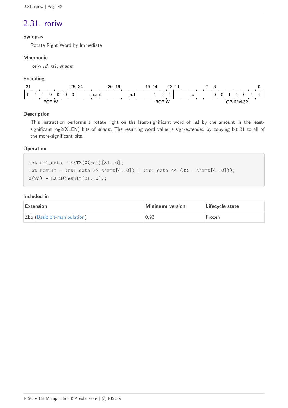### <span id="page-44-0"></span>2.31. roriw

#### **Synopsis**

Rotate Right Word by Immediate

#### **Mnemonic**

roriw rd, rs1, shamt

#### **Encoding**

| $\sim$<br>ا ت | 25<br>24 | 20<br>19 | 15<br>12<br>4<br>-44 | ⌒<br>h                             |  |
|---------------|----------|----------|----------------------|------------------------------------|--|
|               | shamt    | rs1      | U                    | rd                                 |  |
| <b>RORIW</b>  |          |          | <b>RORIW</b>         | റ<br>∩P.<br>` <sup>∪</sup> -IMM-3∠ |  |

#### **Description**

This instruction performs a rotate right on the least-significant word of rs1 by the amount in the leastsignificant log2(XLEN) bits of shamt. The resulting word value is sign-extended by copying bit 31 to all of the more-significant bits.

#### **Operation**

let  $rs1_data = EXTZ(X(rs1) [31..0];$ let result =  $(rs1_data \gg shamt[4..0])$  |  $(rs1_data \ll (32 - shamt[4..0]))$ ;  $X(rd) = EXTS(result[31..0]);$ 

| Extension                    | <b>Minimum version</b> | Lifecycle state |
|------------------------------|------------------------|-----------------|
| Zbb (Basic bit-manipulation) | 0.93                   | Frozen          |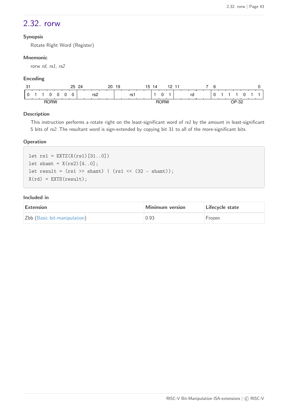### <span id="page-45-0"></span>2.32. rorw

#### **Synopsis**

Rotate Right Word (Register)

#### **Mnemonic**

rorw rd, rs1, rs2

#### **Encoding**

| $\sim$<br>، ت    | 25<br>24 | 20<br>19 | . .<br>19<br>$\overline{4}$<br>-44<br>ו ה | ⌒           |
|------------------|----------|----------|-------------------------------------------|-------------|
|                  | rs2      | rs.      | $\sim$                                    | ra          |
| <b>RORW</b><br>. |          |          | <b>RORW</b>                               | פר-ם∩<br>ےت |

#### **Description**

This instruction performs a rotate right on the least-significant word of rs1 by the amount in least-significant 5 bits of rs2. The resultant word is sign-extended by copying bit 31 to all of the more-significant bits.

#### **Operation**

 $let rs1 = EXTZ(X(rs1)[31..0])$ let shamt =  $X(rs2)[4..0]$ ; let result =  $(rs1 \gg shamt)$  |  $(rs1 \ll (32 - shamt));$  $X(rd) = EXTS(result);$ 

| Extension                    | Minimum version | Lifecycle state |
|------------------------------|-----------------|-----------------|
| Zbb (Basic bit-manipulation) | 0.93            | Frozen          |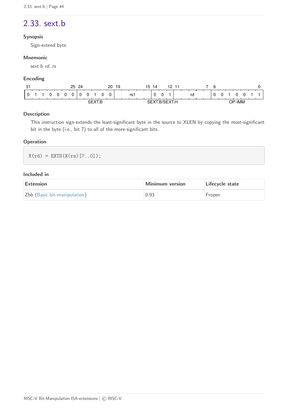### <span id="page-46-0"></span>2.33. sext.b

#### **Synopsis**

Sign-extend byte

#### **Mnemonic**

sext.b rd, rs

#### **Encoding**

| $\sim$<br>. ت |  |  |  |   |  | 25 | 24 |  |  |  | 20 | -19 |     | 15 | 14 |   | 12 | - 11          |    |  | հ |              |  |  |  |  |  |
|---------------|--|--|--|---|--|----|----|--|--|--|----|-----|-----|----|----|---|----|---------------|----|--|---|--------------|--|--|--|--|--|
|               |  |  |  | 0 |  |    |    |  |  |  |    |     | rs1 |    |    | 0 |    |               | rd |  |   | $\mathbf{U}$ |  |  |  |  |  |
|               |  |  |  |   |  |    |    |  |  |  |    |     |     |    |    |   |    | '-IMM<br>. סר |    |  |   |              |  |  |  |  |  |

#### **Description**

This instruction sign-extends the least-significant byte in the source to XLEN by copying the most-significant bit in the byte (i.e., bit 7) to all of the more-significant bits.

#### **Operation**

 $X(rd) = EXTS(X(rs) [7..0]);$ 

| Extension                    | Minimum version | Lifecycle state |
|------------------------------|-----------------|-----------------|
| Zbb (Basic bit-manipulation) | 0.93            | Frozen          |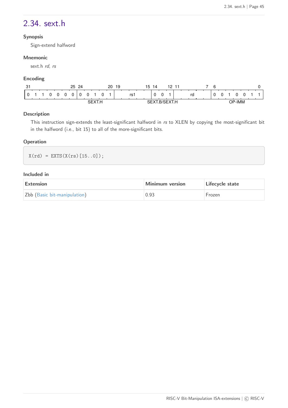### <span id="page-47-0"></span>2.34. sext.h

#### **Synopsis**

Sign-extend halfword

#### **Mnemonic**

sext.h rd, rs

#### **Encoding**

| $\sim$<br>ا آب |  |  |            |          |   | 25 | -24 |  |   | 20 | 19 |      | ם ו | 14 |   | 12 |    |               | h |  |  |  |  |
|----------------|--|--|------------|----------|---|----|-----|--|---|----|----|------|-----|----|---|----|----|---------------|---|--|--|--|--|
|                |  |  | $^{\circ}$ | $^{(1)}$ | U |    |     |  | 0 |    |    | rs i |     |    | 0 |    | rd |               |   |  |  |  |  |
|                |  |  |            |          |   |    |     |  |   |    |    |      |     |    |   |    |    | <b>OP-IMM</b> |   |  |  |  |  |

#### **Description**

This instruction sign-extends the least-significant halfword in rs to XLEN by copying the most-significant bit in the halfword (i.e., bit 15) to all of the more-significant bits.

#### **Operation**

 $X(rd) = EXTS(X(rs) [15..0]);$ 

| Extension                    | Minimum version | Lifecycle state |
|------------------------------|-----------------|-----------------|
| Zbb (Basic bit-manipulation) | 0.93            | Frozen          |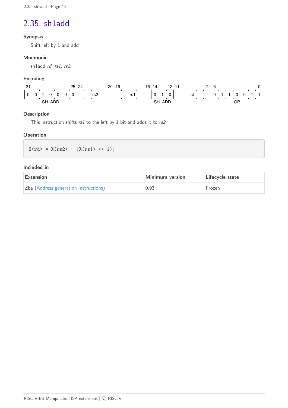### <span id="page-48-0"></span>2.35. sh1add

#### **Synopsis**

Shift left by 1 and add

#### **Mnemonic**

sh1add rd, rs1, rs2

#### **Encoding**

| $\sim$<br>، پ | 25     | 24<br>20 | ۱9   | 15<br>14 | 10 |    | $\sim$<br>ь |         |  |
|---------------|--------|----------|------|----------|----|----|-------------|---------|--|
|               | 0<br>0 | rs2      | rs i |          |    | rd |             |         |  |
| cц            | --     |          |      | nı.      |    |    |             | ∩פ<br>ັ |  |

#### **Description**

This instruction shifts rs1 to the left by 1 bit and adds it to rs2.

#### **Operation**

 $X(rd) = X(rs2) + (X(rs1) << 1);$ 

| <b>Extension</b>                      | Minimum version | Lifecycle state |
|---------------------------------------|-----------------|-----------------|
| Zba (Address generation instructions) | 0.93            | Frozen          |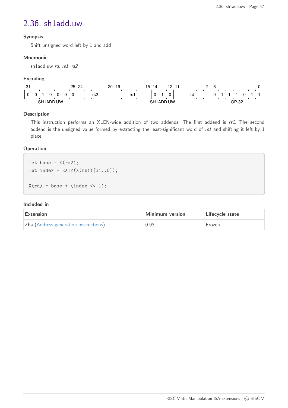### <span id="page-49-0"></span>2.36. sh1add.uw

#### **Synopsis**

Shift unsigned word left by 1 and add

#### **Mnemonic**

sh1add.uw rd, rs1, rs2

#### **Encoding**

| ٠Q٠<br>ັບ |           |              |    | つに | 24 |     | 20 | 19 |    | .5 | 4 | $\sim$<br>. . |    | 'n |  |              |    |  |
|-----------|-----------|--------------|----|----|----|-----|----|----|----|----|---|---------------|----|----|--|--------------|----|--|
|           |           |              |    |    |    | rs2 |    |    | rs |    |   |               | ra | ັ  |  |              |    |  |
|           | <b>SH</b> | $\mathbf{v}$ | JW |    |    |     |    |    |    |    |   | <b>IW</b>     |    |    |  | $\sim$<br>∟ו | ັບ |  |

#### **Description**

This instruction performs an XLEN-wide addition of two addends. The first addend is rs2. The second addend is the unsigned value formed by extracting the least-significant word of rs1 and shifting it left by 1 place.

#### **Operation**

```
let base = X(rs2);
let index = EXTZ(X(rs1) [31..0]);X(rd) = base + (index \lt1);
```

| Extension                             | Minimum version | Lifecycle state |
|---------------------------------------|-----------------|-----------------|
| Zba (Address generation instructions) | 0.93            | Frozen          |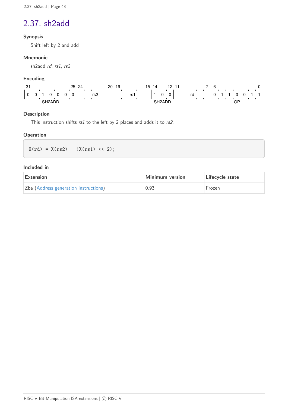### <span id="page-50-0"></span>2.37. sh2add

#### **Synopsis**

Shift left by 2 and add

#### **Mnemonic**

sh2add rd, rs1, rs2

#### **Encoding**

| $\sim$<br>. ت |            |     |   | 25 | 24 |                 | 20 | 19 |    | 15 | 14            |          | 10 |  |    | $\sim$<br>ь |  |                                     |  |  |
|---------------|------------|-----|---|----|----|-----------------|----|----|----|----|---------------|----------|----|--|----|-------------|--|-------------------------------------|--|--|
|               |            |     | 0 |    |    | rs <sub>2</sub> |    |    | rs |    |               | $\Gamma$ |    |  | rd |             |  |                                     |  |  |
|               | <b>CHO</b> | .nr |   |    |    |                 |    |    |    |    | $\sim$ $\sim$ |          |    |  |    |             |  | ∩פ<br>ັ<br>$\overline{\phantom{a}}$ |  |  |

#### **Description**

This instruction shifts  $rs1$  to the left by 2 places and adds it to  $rs2$ .

#### **Operation**

 $X(rd) = X(rs2) + (X(rs1) << 2);$ 

| Extension                             | Minimum version | Lifecycle state |
|---------------------------------------|-----------------|-----------------|
| Zba (Address generation instructions) | 0.93            | Frozen          |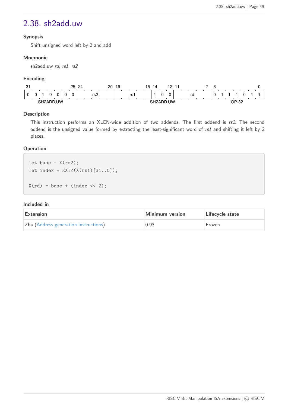### <span id="page-51-0"></span>2.38. sh2add.uw

#### **Synopsis**

Shift unsigned word left by 2 and add

#### **Mnemonic**

sh2add.uw rd, rs1, rs2

#### **Encoding**

| ٠Q٠<br>ັບ |     |      |    | っに | 24 |     | 20 | 19 |      | כ' | '4 | $\sim$<br>- 11 |  |    | r |  |       |  |  |
|-----------|-----|------|----|----|----|-----|----|----|------|----|----|----------------|--|----|---|--|-------|--|--|
|           |     |      |    |    |    | rs2 |    |    | rs i |    |    |                |  | ra | ັ |  |       |  |  |
|           | SH: | ת כי | JW |    |    |     |    |    |      |    |    | UW             |  |    |   |  | פר-ם∩ |  |  |

#### **Description**

This instruction performs an XLEN-wide addition of two addends. The first addend is rs2. The second addend is the unsigned value formed by extracting the least-significant word of rs1 and shifting it left by 2 places.

#### **Operation**

```
let base = X(rs2);
let index = EXTZ(X(rs1) [31..0]);X(rd) = base + (index \lt12);
```

| Extension                             | Minimum version | Lifecycle state |
|---------------------------------------|-----------------|-----------------|
| Zba (Address generation instructions) | 0.93            | Frozen          |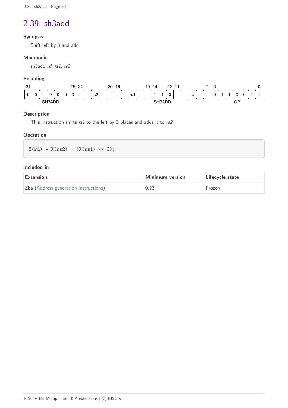### <span id="page-52-0"></span>2.39. sh3add

#### **Synopsis**

Shift left by 3 and add

#### **Mnemonic**

sh3add rd, rs1, rs2

#### **Encoding**

| $\sim$<br>. ت |  |            |        |   | 25 | 24 |                 | 20 | 19 |    | 15 | 14            | 10 |  |    | $\sim$<br>h |  |                                      |  |  |
|---------------|--|------------|--------|---|----|----|-----------------|----|----|----|----|---------------|----|--|----|-------------|--|--------------------------------------|--|--|
|               |  |            |        | 0 |    |    | rs <sub>2</sub> |    |    | rs |    |               |    |  | rd |             |  |                                      |  |  |
|               |  | <b>CH3</b> | $\sim$ |   |    |    |                 |    |    |    |    | $\sim$ $\sim$ |    |  |    |             |  | ∩פ<br>J,<br>$\overline{\phantom{a}}$ |  |  |

#### **Description**

This instruction shifts rs1 to the left by 3 places and adds it to rs2.

#### **Operation**

 $X(rd) = X(rs2) + (X(rs1) << 3);$ 

| <b>Extension</b>                      | Minimum version | Lifecycle state |
|---------------------------------------|-----------------|-----------------|
| Zba (Address generation instructions) | 0.93            | Frozen          |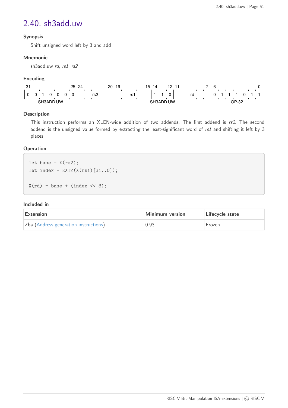### <span id="page-53-0"></span>2.40. sh3add.uw

#### **Synopsis**

Shift unsigned word left by 3 and add

#### **Mnemonic**

sh3add.uw rd, rs1, rs2

#### **Encoding**

| ი.<br>ا پ |    |             |    | っに | $\Omega$<br><u>. </u> |     | 20 | 19 |     | ึ้ว | 4 | 10 |  |    |  |  |                      |  |  |
|-----------|----|-------------|----|----|-----------------------|-----|----|----|-----|-----|---|----|--|----|--|--|----------------------|--|--|
|           |    |             |    |    |                       | rs2 |    |    | rs. |     |   |    |  | ra |  |  |                      |  |  |
|           | €⊔ | <i>' ''</i> | JW |    |                       |     |    |    |     |     |   | JW |  |    |  |  | n <sub>n</sub><br>∟ו |  |  |

#### **Description**

This instruction performs an XLEN-wide addition of two addends. The first addend is rs2. The second addend is the unsigned value formed by extracting the least-significant word of rs1 and shifting it left by 3 places.

#### **Operation**

```
let base = X(rs2);
let index = EXTZ(X(rs1) [31..0]);X(rd) = base + (index \lt1 3);
```

| Extension                             | Minimum version | Lifecycle state |  |  |  |  |
|---------------------------------------|-----------------|-----------------|--|--|--|--|
| Zba (Address generation instructions) | 0.93            | Frozen          |  |  |  |  |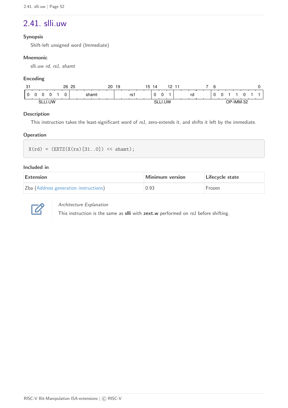### <span id="page-54-0"></span>2.41. slli.uw

#### **Synopsis**

Shift-left unsigned word (Immediate)

#### **Mnemonic**

slli.uw rd, rs1, shamt

#### **Encoding**

| - ص<br>ັ |            | 26 25 | 20 | 19 |      | 15 | 14 | 10  |    | 6 |  |        |  |
|----------|------------|-------|----|----|------|----|----|-----|----|---|--|--------|--|
| . .      |            | shamt |    |    | rs i |    |    |     | rd |   |  |        |  |
| C١       | <b>IIW</b> |       |    |    |      |    | nг | .UW |    |   |  | ിMM-ാ∠ |  |

#### **Description**

This instruction takes the least-significant word of rs1, zero-extends it, and shifts it left by the immediate.

#### **Operation**

```
X(rd) = (EXTZ(X(rs) [31..0]) << shamt);
```
#### **Included in**

| Extension                             | Minimum version | Lifecycle state |  |  |  |  |  |
|---------------------------------------|-----------------|-----------------|--|--|--|--|--|
| Zba (Address generation instructions) | 0.93            | Frozen          |  |  |  |  |  |



#### Architecture Explanation

This instruction is the same as **slli** with **zext.w** performed on rs1 before shifting.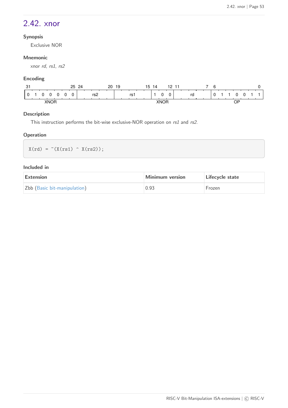### <span id="page-55-0"></span>2.42. xnor

#### **Synopsis**

Exclusive NOR

#### **Mnemonic**

xnor rd, rs1, rs2

#### **Encoding**

| 25<br>$\sim$<br>ا ب | $\Omega$<br>20 | -<br>19<br>14<br>l 5 | 0 ו<br>-4-4<br>. . |         |  |
|---------------------|----------------|----------------------|--------------------|---------|--|
| ⌒<br>. .            | -<br>rs2       | rs.                  | -<br>ro<br>υ       |         |  |
| <b>XNOR</b><br>灬    |                |                      | <b>XNK</b>         | ∩P<br>◡ |  |

#### **Description**

This instruction performs the bit-wise exclusive-NOR operation on rs1 and rs2.

#### **Operation**

 $X(rd) = (X(rs1) - X(rs2));$ 

| Extension                    | Minimum version | Lifecycle state |  |  |  |  |
|------------------------------|-----------------|-----------------|--|--|--|--|
| Zbb (Basic bit-manipulation) | 0.93            | Frozen          |  |  |  |  |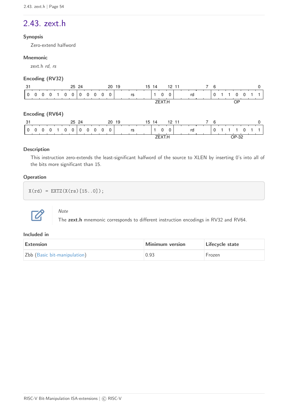# <span id="page-56-0"></span>2.43. zext.h

#### **Synopsis**

Zero-extend halfword

#### **Mnemonic**

zext.h rd, rs

#### **Encoding (RV32)**

| -31             |          |          |  |   | 25 24 |   |   |          |          | 20 19    |        |  |    |  | 15 14 |  |          |          | 12 11 |       |  |   | 6 |  |           |  |  |
|-----------------|----------|----------|--|---|-------|---|---|----------|----------|----------|--------|--|----|--|-------|--|----------|----------|-------|-------|--|---|---|--|-----------|--|--|
| 0               | $\Omega$ | 0        |  | 0 | 0     | U | 0 | $\Omega$ | $\Omega$ | $\Omega$ |        |  | rs |  |       |  | $\Omega$ | 0        |       | rd    |  |   | 0 |  | 0         |  |  |
|                 |          |          |  |   |       |   |   |          |          |          |        |  |    |  |       |  | ZEXT.H   |          |       |       |  |   |   |  | <b>OP</b> |  |  |
| Encoding (RV64) |          |          |  |   |       |   |   |          |          |          |        |  |    |  |       |  |          |          |       |       |  |   |   |  |           |  |  |
| -31             |          |          |  |   | 25 24 |   |   |          |          | 20 19    |        |  |    |  | 15 14 |  |          |          | 12 11 |       |  | 7 | 6 |  |           |  |  |
| $\Omega$        | $\Omega$ | $\Omega$ |  | 0 | 0     | 0 | 0 | $\Omega$ | $\Omega$ | $\Omega$ |        |  | rs |  |       |  | 0        | $\Omega$ |       | rd    |  |   | 0 |  |           |  |  |
|                 |          |          |  |   |       |   |   |          |          |          | ZEXT.H |  |    |  |       |  |          |          |       | OP-32 |  |   |   |  |           |  |  |

#### **Description**

This instruction zero-extends the least-significant halfword of the source to XLEN by inserting 0's into all of the bits more significant than 15.

#### **Operation**

 $X(rd) = EXTZ(X(rs) [15..0]);$ 



Note

The **zext.h** mnemonic corresponds to different instruction encodings in RV32 and RV64.

| Extension                    | Minimum version | Lifecycle state |  |  |  |  |
|------------------------------|-----------------|-----------------|--|--|--|--|
| Zbb (Basic bit-manipulation) | 0.93            | Frozen          |  |  |  |  |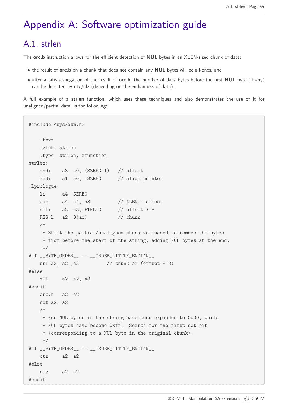# <span id="page-57-0"></span>Appendix A: Software optimization guide

### <span id="page-57-1"></span>A.1. strlen

The **orc.b** instruction allows for the efficient detection of **NUL** bytes in an XLEN-sized chunk of data:

- the result of **orc.b** on a chunk that does not contain any **NUL** bytes will be all-ones, and
- after a bitwise-negation of the result of **orc.b**, the number of data bytes before the first **NUL** byte (if any) can be detected by **ctz**/**clz** (depending on the endianness of data).

A full example of a **strlen** function, which uses these techniques and also demonstrates the use of it for unaligned/partial data, is the following:

```
#include <sys/asm.h>
     .text
     .globl strlen
     .type strlen, @function
strlen:
   andi a3, a0, (SZREG-1) // offset
   andi a1, a0, -SZREG // align pointer
.Lprologue:
     li a4, SZREG
   sub a4, a4, a3 // XLEN - offset
   slli a3, a3, PTRLOG // offset * 8
   REG_L a2, 0(a1) // chunk
     /*
      * Shift the partial/unaligned chunk we loaded to remove the bytes
      * from before the start of the string, adding NUL bytes at the end.
      */
#if __BYTE_ORDER__ == __ORDER_LITTLE_ENDIAN__
   srl a2, a2, a3 \frac{1}{\sqrt{c}} chunk >> (offset * 8)
#else
     sll a2, a2, a3
#endif
     orc.b a2, a2
     not a2, a2
     /*
      * Non-NUL bytes in the string have been expanded to 0x00, while
      * NUL bytes have become 0xff. Search for the first set bit
      * (corresponding to a NUL byte in the original chunk).
      */
#if __BYTE_ORDER__ == __ORDER_LITTLE_ENDIAN__
     ctz a2, a2
#else
     clz a2, a2
#endif
```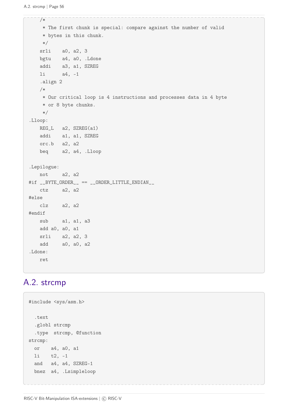```
  /*
       * The first chunk is special: compare against the number of valid
       * bytes in this chunk.
      */
     srli a0, a2, 3
     bgtu a4, a0, .Ldone
      addi a3, a1, SZREG
     li a4, -1
      .align 2
      /*
      * Our critical loop is 4 instructions and processes data in 4 byte
       * or 8 byte chunks.
      */
.Lloop:
      REG_L a2, SZREG(a1)
      addi a1, a1, SZREG
      orc.b a2, a2
      beq a2, a4, .Lloop
.Lepilogue:
     not a2, a2
#if __BYTE_ORDER__ == __ORDER_LITTLE_ENDIAN__
     ctz a2, a2
#else
     clz a2, a2
#endif
   sub a1, a1, a3
   add a0, a0, a1
     srli a2, a2, 3
      add a0, a0, a2
.Ldone:
      ret
```
### <span id="page-58-0"></span>A.2. strcmp

```
#include <sys/asm.h>
    .text
    .globl strcmp
    .type strcmp, @function
strcmp:
    or a4, a0, a1
    li t2, -1
    and a4, a4, SZREG-1
    bnez a4, .Lsimpleloop
```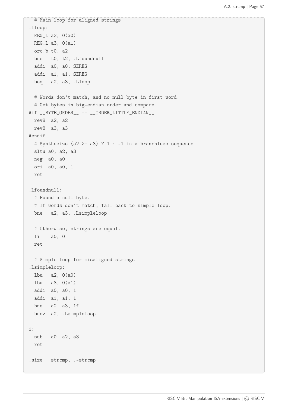```
  # Main loop for aligned strings
.Lloop:
 REG_L a2, 0(a0)REG_L a3, 0(a1)  orc.b t0, a2
   bne t0, t2, .Lfoundnull
   addi a0, a0, SZREG
   addi a1, a1, SZREG
   beq a2, a3, .Lloop
   # Words don't match, and no null byte in first word.
   # Get bytes in big-endian order and compare.
\#if __BYTE_ORDER__ == __ORDER_LITTLE_ENDIAN__
   rev8 a2, a2
   rev8 a3, a3
#endif
   # Synthesize (a2 >= a3) ? 1 : -1 in a branchless sequence.
   sltu a0, a2, a3
   neg a0, a0
   ori a0, a0, 1
   ret
.Lfoundnull:
   # Found a null byte.
   # If words don't match, fall back to simple loop.
   bne a2, a3, .Lsimpleloop
   # Otherwise, strings are equal.
   li a0, 0
   ret
   # Simple loop for misaligned strings
.Lsimpleloop:
   lbu a2, 0(a0)
   lbu a3, 0(a1)
   addi a0, a0, 1
   addi a1, a1, 1
   bne a2, a3, 1f
   bnez a2, .Lsimpleloop
1:
   sub a0, a2, a3
   ret
.size strcmp, .-strcmp
```